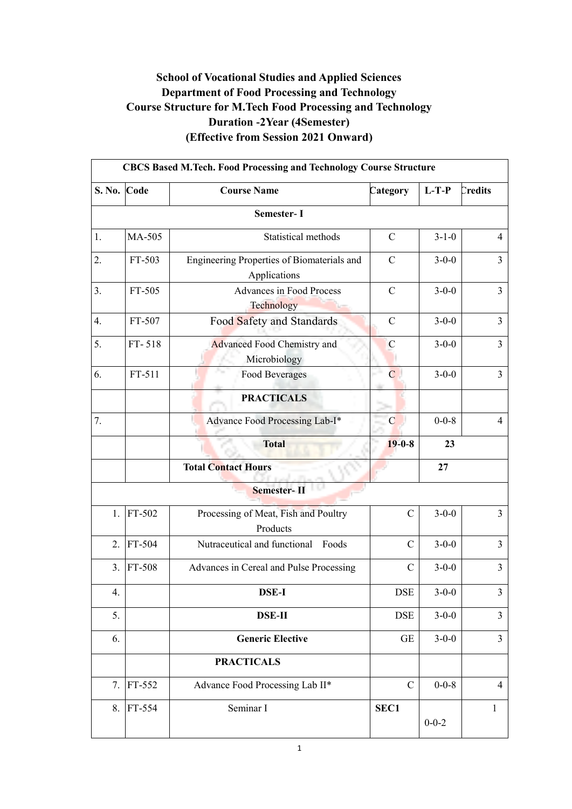### **School of Vocational Studies and Applied Sciences Department of Food Processing and Technology Course Structure for M.Tech Food Processing and Technology Duration -2Year (4Semester) (Effective from Session 2021 Onward)**

| <b>CBCS Based M.Tech. Food Processing and Technology Course Structure</b> |             |                                                            |                |             |                |  |  |
|---------------------------------------------------------------------------|-------------|------------------------------------------------------------|----------------|-------------|----------------|--|--|
| S. No. Code                                                               |             | <b>Course Name</b>                                         | Category       | $L-T-P$     | Credits        |  |  |
|                                                                           |             | Semester- I                                                |                |             |                |  |  |
| 1.                                                                        | MA-505      | Statistical methods                                        | $\mathcal{C}$  | $3-1-0$     | $\overline{4}$ |  |  |
| 2.                                                                        | FT-503      | Engineering Properties of Biomaterials and<br>Applications | $\mathbf C$    | $3 - 0 - 0$ | 3              |  |  |
| 3.                                                                        | FT-505      | <b>Advances in Food Process</b><br>Technology              | $\mathbf C$    | $3 - 0 - 0$ | $\overline{3}$ |  |  |
| 4.                                                                        | FT-507      | Food Safety and Standards                                  | $\mathbf C$    | $3 - 0 - 0$ | $\overline{3}$ |  |  |
| 5.                                                                        | FT-518      | <b>Advanced Food Chemistry and</b><br>Microbiology         | $\mathcal{C}$  | $3 - 0 - 0$ | 3              |  |  |
| 6.                                                                        | FT-511      | <b>Food Beverages</b>                                      | $\overline{C}$ | $3-0-0$     | $\overline{3}$ |  |  |
|                                                                           |             | <b>PRACTICALS</b>                                          |                |             |                |  |  |
| 7.                                                                        |             | Advance Food Processing Lab-I*                             | $\mathbf C$    | $0 - 0 - 8$ | $\overline{4}$ |  |  |
|                                                                           |             | <b>Total</b>                                               | $19 - 0 - 8$   | 23          |                |  |  |
|                                                                           |             | <b>Total Contact Hours</b>                                 |                | 27          |                |  |  |
|                                                                           |             | Semester-                                                  |                |             |                |  |  |
| 1.                                                                        | FT-502      | Processing of Meat, Fish and Poultry<br>Products           | $\mathcal{C}$  | $3 - 0 - 0$ | $\overline{3}$ |  |  |
| 2.                                                                        | FT-504      | Nutraceutical and functional Foods                         | $\mathcal{C}$  | $3 - 0 - 0$ | $\overline{3}$ |  |  |
|                                                                           | $3.$ FT-508 | Advances in Cereal and Pulse Processing                    | $\mathcal{C}$  | $3 - 0 - 0$ | $\overline{3}$ |  |  |
| 4.                                                                        |             | DSE-I                                                      | DSE            | $3 - 0 - 0$ | 3              |  |  |
| 5.                                                                        |             | <b>DSE-II</b>                                              | <b>DSE</b>     | $3 - 0 - 0$ | 3              |  |  |
| 6.                                                                        |             | <b>Generic Elective</b>                                    | <b>GE</b>      | $3-0-0$     | $\overline{3}$ |  |  |
|                                                                           |             | <b>PRACTICALS</b>                                          |                |             |                |  |  |
| 7.                                                                        | FT-552      | Advance Food Processing Lab II*                            | $\mathcal{C}$  | $0 - 0 - 8$ | $\overline{4}$ |  |  |
| 8.                                                                        | FT-554      | Seminar I                                                  | SEC1           | $0 - 0 - 2$ | 1              |  |  |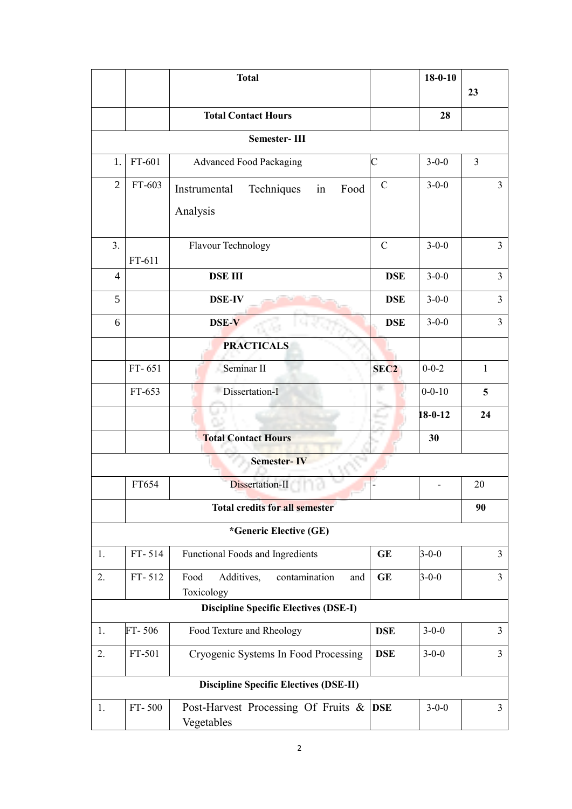|                                       |        | <b>Total</b>                                               |                  | $18 - 0 - 10$ |                |
|---------------------------------------|--------|------------------------------------------------------------|------------------|---------------|----------------|
|                                       |        |                                                            |                  |               | 23             |
|                                       |        | <b>Total Contact Hours</b>                                 |                  | 28            |                |
|                                       |        | <b>Semester-III</b>                                        |                  |               |                |
| 1.                                    | FT-601 | <b>Advanced Food Packaging</b>                             | $\overline{C}$   | $3 - 0 - 0$   | $\overline{3}$ |
| $\overline{2}$                        | FT-603 | Techniques<br>Food<br>Instrumental<br>in                   | $\mathcal{C}$    | $3-0-0$       | $\overline{3}$ |
|                                       |        | Analysis                                                   |                  |               |                |
| 3.                                    |        | Flavour Technology                                         | $\mathcal{C}$    | $3 - 0 - 0$   | $\overline{3}$ |
| 4                                     | FT-611 | <b>DSE III</b><br><b>DSE</b>                               |                  | $3-0-0$       | $\overline{3}$ |
| 5                                     |        | <b>DSE-IV</b>                                              | <b>DSE</b>       | $3-0-0$       | $\overline{3}$ |
| 6                                     |        | DSE-V                                                      | <b>DSE</b>       | $3-0-0$       | $\overline{3}$ |
|                                       |        | <b>PRACTICALS</b>                                          |                  |               |                |
|                                       | FT-651 | Seminar II                                                 | SEC <sub>2</sub> | $0 - 0 - 2$   | $\mathbf{1}$   |
|                                       | FT-653 | Dissertation-I                                             | r.               | $0 - 0 - 10$  | 5              |
|                                       |        |                                                            |                  | $18 - 0 - 12$ | 24             |
|                                       |        | <b>Total Contact Hours</b>                                 |                  | 30            |                |
|                                       |        | <b>Semester-IV</b>                                         |                  |               |                |
|                                       | FT654  | Dissertation-II                                            |                  |               | 20             |
| <b>Total credits for all semester</b> |        |                                                            |                  |               | 90             |
|                                       |        | *Generic Elective (GE)                                     |                  |               |                |
| 1.                                    | FT-514 | Functional Foods and Ingredients                           | GE               | $3 - 0 - 0$   | 3              |
| 2.                                    | FT-512 | Food<br>Additives,<br>contamination<br>and                 | GE               | $3 - 0 - 0$   | $\overline{3}$ |
|                                       |        | Toxicology<br><b>Discipline Specific Electives (DSE-I)</b> |                  |               |                |
| 1.                                    | FT-506 | Food Texture and Rheology                                  | <b>DSE</b>       | $3 - 0 - 0$   | 3              |
| 2.                                    | FT-501 | Cryogenic Systems In Food Processing                       | <b>DSE</b>       | $3 - 0 - 0$   | 3              |
|                                       |        |                                                            |                  |               |                |
|                                       |        | <b>Discipline Specific Electives (DSE-II)</b>              |                  |               |                |
| 1.                                    | FT-500 | Post-Harvest Processing Of Fruits &<br>Vegetables          | <b>DSE</b>       | $3 - 0 - 0$   | $\overline{3}$ |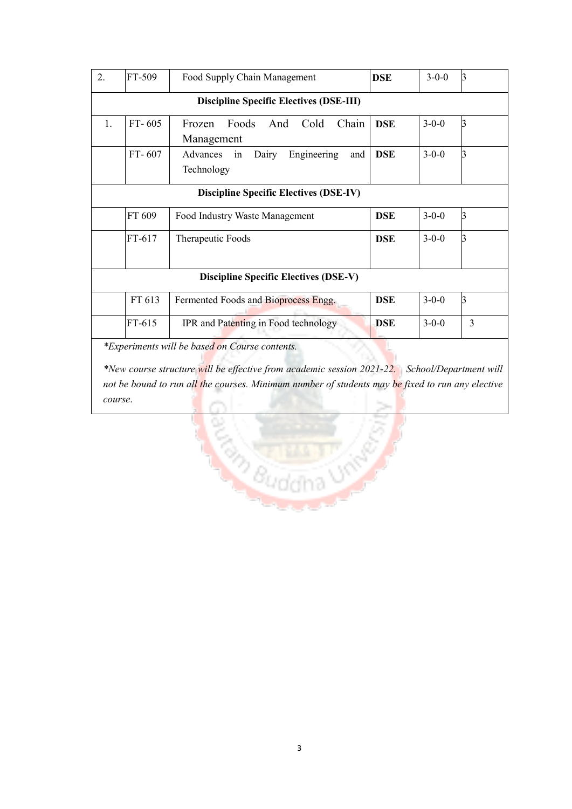|    |          | <b>Discipline Specific Electives (DSE-III)</b>              |            |             |                |
|----|----------|-------------------------------------------------------------|------------|-------------|----------------|
| 1. | $FT-605$ | Foods<br>Cold<br>Chain<br>Frozen<br>And<br>Management       | <b>DSE</b> | $3 - 0 - 0$ | $\mathbf{B}$   |
|    | FT-607   | Advances<br>Dairy<br>Engineering<br>and<br>in<br>Technology | <b>DSE</b> | $3-0-0$     | 3              |
|    |          | <b>Discipline Specific Electives (DSE-IV)</b>               |            |             |                |
|    | FT 609   | Food Industry Waste Management                              | <b>DSE</b> | $3 - 0 - 0$ | <sub>3</sub>   |
|    | FT-617   | Therapeutic Foods                                           | <b>DSE</b> | $3 - 0 - 0$ | 3              |
|    |          | <b>Discipline Specific Electives (DSE-V)</b>                |            |             |                |
|    | FT 613   | Fermented Foods and Bioprocess Engg.                        | <b>DSE</b> | $3 - 0 - 0$ | $\overline{3}$ |
|    |          | IPR and Patenting in Food technology                        | <b>DSE</b> | $3 - 0 - 0$ | $\overline{3}$ |

*not be bound to run all the courses. Minimum number of students may be fixed to run any elective course*.**REAL PROPERTY**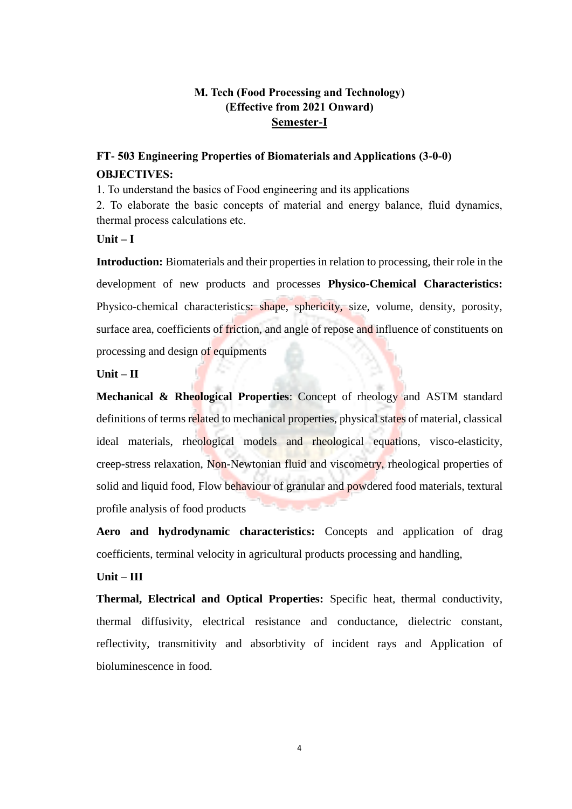### **M. Tech (Food Processing and Technology) (Effective from 2021 Onward) Semester-I**

## **FT- 503 Engineering Properties of Biomaterials and Applications (3-0-0) OBJECTIVES:**

1. To understand the basics of Food engineering and its applications

2. To elaborate the basic concepts of material and energy balance, fluid dynamics, thermal process calculations etc.

#### **Unit – I**

**Introduction:** Biomaterials and their properties in relation to processing, their role in the development of new products and processes **Physico-Chemical Characteristics:**  Physico-chemical characteristics: shape, sphericity, size, volume, density, porosity, surface area, coefficients of friction, and angle of repose and influence of constituents on processing and design of equipments

#### $Unit - II$

**Mechanical & Rheological Properties**: Concept of rheology and ASTM standard definitions of terms related to mechanical properties, physical states of material, classical ideal materials, rheological models and rheological equations, visco-elasticity, creep-stress relaxation, Non-Newtonian fluid and viscometry, rheological properties of solid and liquid food, Flow behaviour of granular and powdered food materials, textural profile analysis of food products

**Aero and hydrodynamic characteristics:** Concepts and application of drag coefficients, terminal velocity in agricultural products processing and handling,

#### **Unit – III**

**Thermal, Electrical and Optical Properties:** Specific heat, thermal conductivity, thermal diffusivity, electrical resistance and conductance, dielectric constant, reflectivity, transmitivity and absorbtivity of incident rays and Application of bioluminescence in food.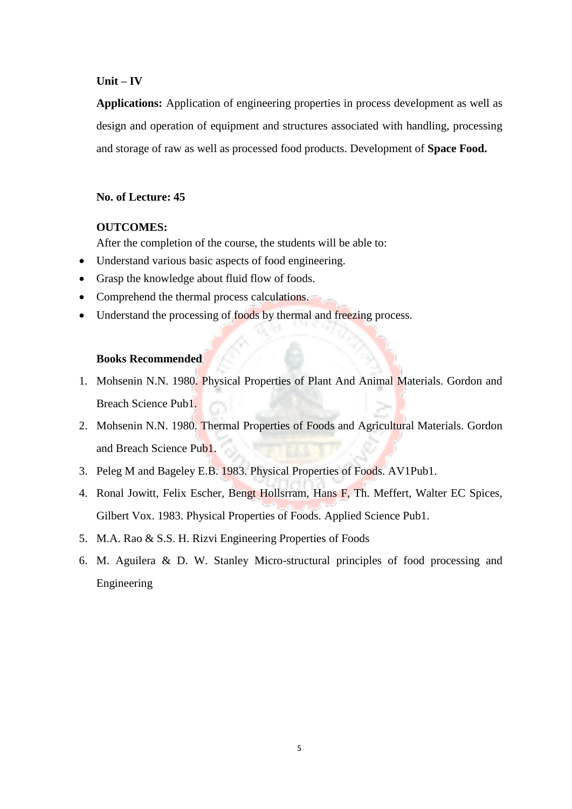#### **Unit – IV**

**Applications:** Application of engineering properties in process development as well as design and operation of equipment and structures associated with handling, processing and storage of raw as well as processed food products. Development of **Space Food.** 

#### **No. of Lecture: 45**

#### **OUTCOMES:**

After the completion of the course, the students will be able to:

- Understand various basic aspects of food engineering.
- Grasp the knowledge about fluid flow of foods.
- Comprehend the thermal process calculations.
- Understand the processing of foods by thermal and freezing process.

#### **Books Recommended**

- 1. Mohsenin N.N. 1980. Physical Properties of Plant And Animal Materials. Gordon and Breach Science Pub1.
- 2. Mohsenin N.N. 1980. Thermal Properties of Foods and Agricultural Materials. Gordon and Breach Science Pub1.
- 3. Peleg M and Bageley E.B. 1983. Physical Properties of Foods. AV1Pub1.
- 4. Ronal Jowitt, Felix Escher, Bengt Hollsrram, Hans F, Th. Meffert, Walter EC Spices, Gilbert Vox. 1983. Physical Properties of Foods. Applied Science Pub1.
- 5. M.A. Rao & S.S. H. Rizvi Engineering Properties of Foods
- 6. M. Aguilera & D. W. Stanley Micro-structural principles of food processing and Engineering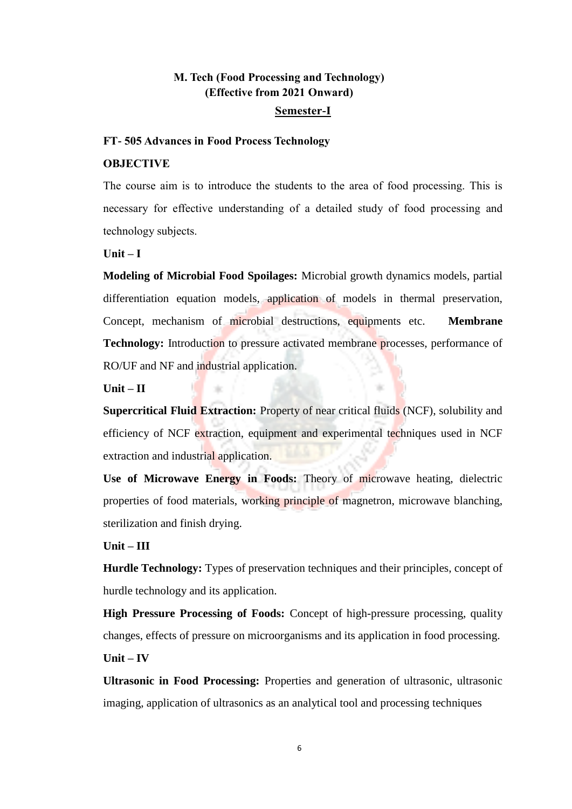### **M. Tech (Food Processing and Technology) (Effective from 2021 Onward) Semester-I**

#### **FT- 505 Advances in Food Process Technology**

#### **OBJECTIVE**

The course aim is to introduce the students to the area of food processing. This is necessary for effective understanding of a detailed study of food processing and technology subjects.

**Unit – I** 

**Modeling of Microbial Food Spoilages:** Microbial growth dynamics models, partial differentiation equation models, application of models in thermal preservation, Concept, mechanism of microbial destructions, equipments etc. **Membrane Technology:** Introduction to pressure activated membrane processes, performance of RO/UF and NF and industrial application.

**Unit – II** 

**Supercritical Fluid Extraction:** Property of near critical fluids (NCF), solubility and efficiency of NCF extraction, equipment and experimental techniques used in NCF extraction and industrial application.

**Use of Microwave Energy in Foods:** Theory of microwave heating, dielectric properties of food materials, working principle of magnetron, microwave blanching, sterilization and finish drying.

**Unit – III** 

**Hurdle Technology:** Types of preservation techniques and their principles, concept of hurdle technology and its application.

**High Pressure Processing of Foods:** Concept of high-pressure processing, quality changes, effects of pressure on microorganisms and its application in food processing. **Unit – IV** 

**Ultrasonic in Food Processing:** Properties and generation of ultrasonic, ultrasonic imaging, application of ultrasonics as an analytical tool and processing techniques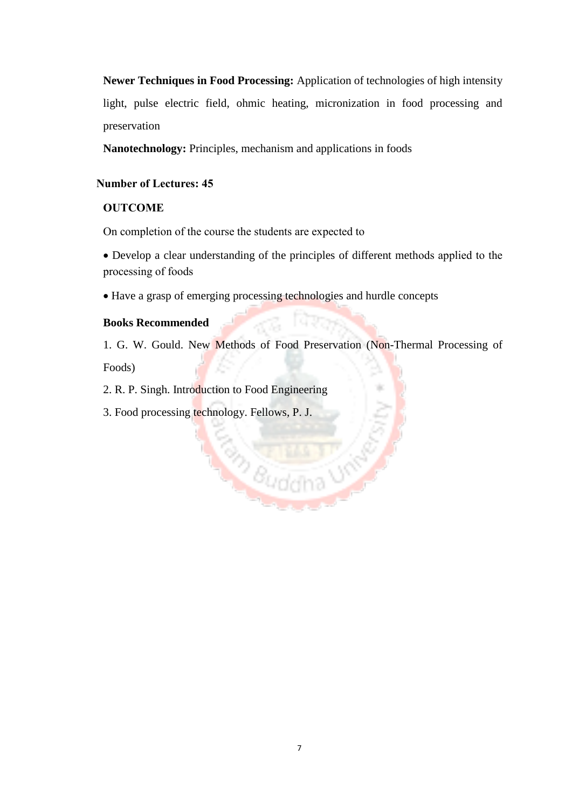**Newer Techniques in Food Processing:** Application of technologies of high intensity light, pulse electric field, ohmic heating, micronization in food processing and preservation

**Nanotechnology:** Principles, mechanism and applications in foods

### **Number of Lectures: 45**

#### **OUTCOME**

On completion of the course the students are expected to

 Develop a clear understanding of the principles of different methods applied to the processing of foods

Have a grasp of emerging processing technologies and hurdle concepts

#### **Books Recommended**

1. G. W. Gould. New Methods of Food Preservation (Non-Thermal Processing of Foods)

**Buddha UN** 

2. R. P. Singh. Introduction to Food Engineering

3. Food processing technology. Fellows, P. J.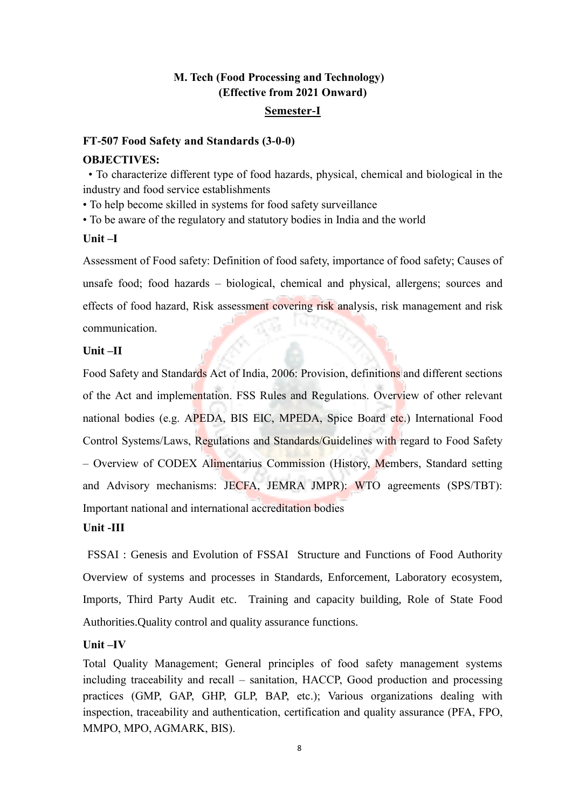## **M. Tech (Food Processing and Technology) (Effective from 2021 Onward)**

#### **Semester-I**

#### **FT-507 Food Safety and Standards (3-0-0)**

#### **OBJECTIVES:**

• To characterize different type of food hazards, physical, chemical and biological in the industry and food service establishments

• To help become skilled in systems for food safety surveillance

• To be aware of the regulatory and statutory bodies in India and the world

#### **Unit –I**

Assessment of Food safety: Definition of food safety, importance of food safety; Causes of unsafe food; food hazards – biological, chemical and physical, allergens; sources and effects of food hazard, Risk assessment covering risk analysis, risk management and risk communication.

#### **Unit –II**

Food Safety and Standards Act of India, 2006: Provision, definitions and different sections of the Act and implementation. FSS Rules and Regulations. Overview of other relevant national bodies (e.g. APEDA, BIS EIC, MPEDA, Spice Board etc.) International Food Control Systems/Laws, Regulations and Standards/Guidelines with regard to Food Safety – Overview of CODEX Alimentarius Commission (History, Members, Standard setting and Advisory mechanisms: JECFA, JEMRA JMPR): WTO agreements (SPS/TBT): Important national and international accreditation bodies

### **Unit -III**

FSSAI : Genesis and Evolution of FSSAI Structure and Functions of Food Authority Overview of systems and processes in Standards, Enforcement, Laboratory ecosystem, Imports, Third Party Audit etc. Training and capacity building, Role of State Food Authorities.Quality control and quality assurance functions.

### **Unit –IV**

Total Quality Management; General principles of food safety management systems including traceability and recall – sanitation, HACCP, Good production and processing practices (GMP, GAP, GHP, GLP, BAP, etc.); Various organizations dealing with inspection, traceability and authentication, certification and quality assurance (PFA, FPO, MMPO, MPO, AGMARK, BIS).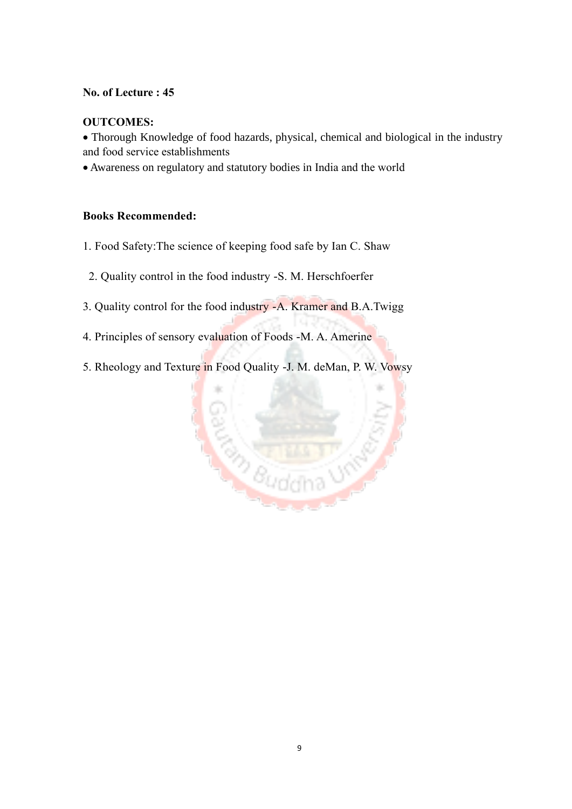#### **No. of Lecture : 45**

#### **OUTCOMES:**

 Thorough Knowledge of food hazards, physical, chemical and biological in the industry and food service establishments

Awareness on regulatory and statutory bodies in India and the world

### **Books Recommended:**

- 1. Food Safety:The science of keeping food safe by Ian C. Shaw
- 2. Quality control in the food industry -S. M. Herschfoerfer
- 3. Quality control for the food industry -A. Kramer and B.A.Twigg
- 4. Principles of sensory evaluation of Foods -M. A. Amerine
- 5. Rheology and Texture in Food Quality -J. M. deMan, P. W. Vowsy

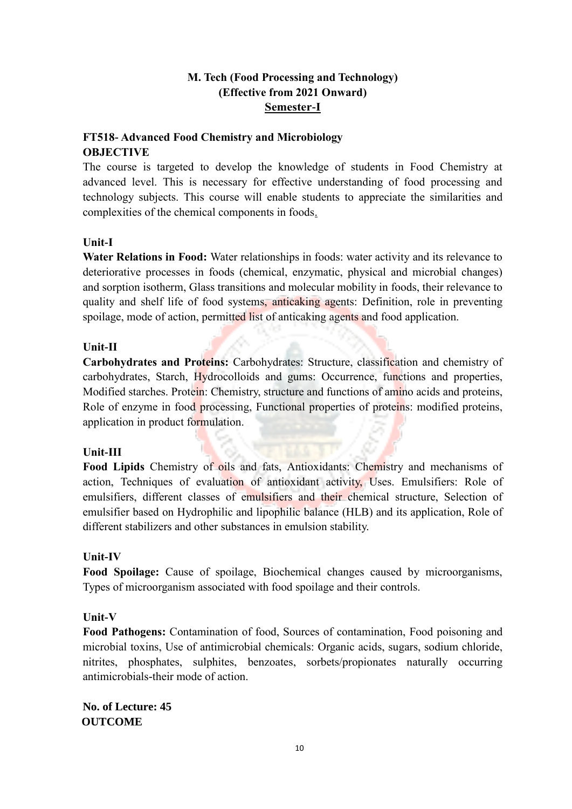### **M. Tech (Food Processing and Technology) (Effective from 2021 Onward) Semester-I**

### **FT518- Advanced Food Chemistry and Microbiology OBJECTIVE**

The course is targeted to develop the knowledge of students in Food Chemistry at advanced level. This is necessary for effective understanding of food processing and technology subjects. This course will enable students to appreciate the similarities and complexities of the chemical components in foods.

#### **Unit-I**

**Water Relations in Food:** Water relationships in foods: water activity and its relevance to deteriorative processes in foods (chemical, enzymatic, physical and microbial changes) and sorption isotherm, Glass transitions and molecular mobility in foods, their relevance to quality and shelf life of food systems, anticaking agents: Definition, role in preventing spoilage, mode of action, permitted list of anticaking agents and food application.

### **Unit-II**

**Carbohydrates and Proteins:** Carbohydrates: Structure, classification and chemistry of carbohydrates, Starch, Hydrocolloids and gums: Occurrence, functions and properties, Modified starches. Protein: Chemistry, structure and functions of amino acids and proteins, Role of enzyme in food processing, Functional properties of proteins: modified proteins, application in product formulation.

### **Unit-III**

**Food Lipids** Chemistry of oils and fats, Antioxidants: Chemistry and mechanisms of action, Techniques of evaluation of antioxidant activity, Uses. Emulsifiers: Role of emulsifiers, different classes of emulsifiers and their chemical structure, Selection of emulsifier based on Hydrophilic and lipophilic balance (HLB) and its application, Role of different stabilizers and other substances in emulsion stability.

### **Unit-IV**

**Food Spoilage:** Cause of spoilage, Biochemical changes caused by microorganisms, Types of microorganism associated with food spoilage and their controls.

### **Unit-V**

**Food Pathogens:** Contamination of food, Sources of contamination, Food poisoning and microbial toxins, Use of antimicrobial chemicals: Organic acids, sugars, sodium chloride, nitrites, phosphates, sulphites, benzoates, sorbets/propionates naturally occurring antimicrobials-their mode of action.

**No. of Lecture: 45 OUTCOME**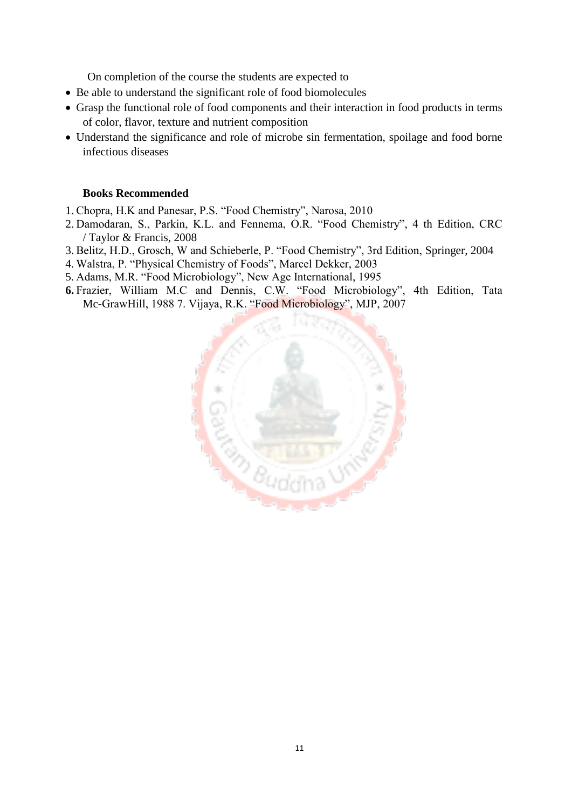On completion of the course the students are expected to

- Be able to understand the significant role of food biomolecules
- Grasp the functional role of food components and their interaction in food products in terms of color, flavor, texture and nutrient composition
- Understand the significance and role of microbe sin fermentation, spoilage and food borne infectious diseases

#### **Books Recommended**

- 1. Chopra, H.K and Panesar, P.S. "Food Chemistry", Narosa, 2010
- 2. Damodaran, S., Parkin, K.L. and Fennema, O.R. "Food Chemistry", 4 th Edition, CRC / Taylor & Francis, 2008
- 3. Belitz, H.D., Grosch, W and Schieberle, P. "Food Chemistry", 3rd Edition, Springer, 2004
- 4. Walstra, P. "Physical Chemistry of Foods", Marcel Dekker, 2003
- 5. Adams, M.R. "Food Microbiology", New Age International, 1995
- **6.** Frazier, William M.C and Dennis, C.W. "Food Microbiology", 4th Edition, Tata Mc-GrawHill, 1988 7. Vijaya, R.K. "Food Microbiology", MJP, 2007

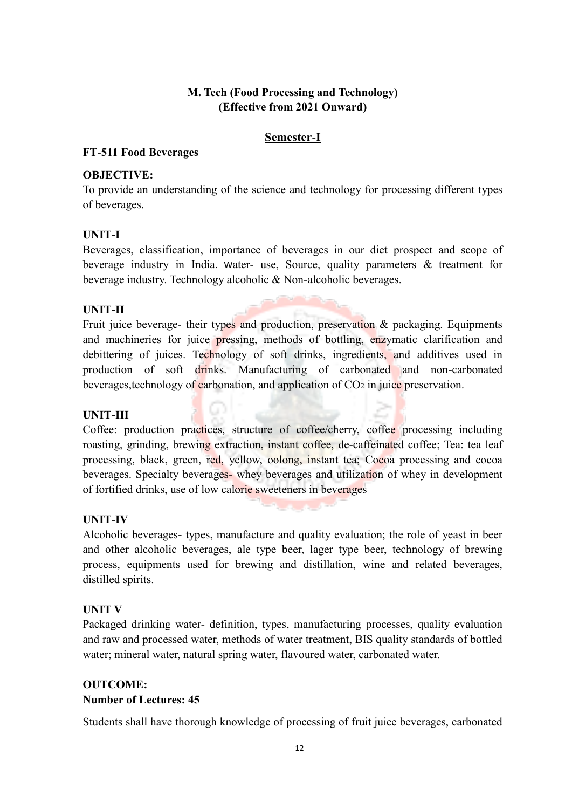### **M. Tech (Food Processing and Technology) (Effective from 2021 Onward)**

#### **Semester-I**

#### **FT-511 Food Beverages**

#### **OBJECTIVE:**

To provide an understanding of the science and technology for processing different types of beverages.

#### **UNIT-I**

Beverages, classification, importance of beverages in our diet prospect and scope of beverage industry in India. Water- use, Source, quality parameters & treatment for beverage industry. Technology alcoholic & Non-alcoholic beverages.

#### **UNIT-II**

Fruit juice beverage- their types and production, preservation & packaging. Equipments and machineries for juice pressing, methods of bottling, enzymatic clarification and debittering of juices. Technology of soft drinks, ingredients, and additives used in production of soft drinks. Manufacturing of carbonated and non-carbonated beverages, technology of carbonation, and application of  $CO<sub>2</sub>$  in juice preservation.

#### **UNIT-III**

Coffee: production practices, structure of coffee/cherry, coffee processing including roasting, grinding, brewing extraction, instant coffee, de-caffeinated coffee; Tea: tea leaf processing, black, green, red, yellow, oolong, instant tea; Cocoa processing and cocoa beverages. Specialty beverages- whey beverages and utilization of whey in development of fortified drinks, use of low calorie sweeteners in beverages

#### **UNIT-IV**

Alcoholic beverages- types, manufacture and quality evaluation; the role of yeast in beer and other alcoholic beverages, ale type beer, lager type beer, technology of brewing process, equipments used for brewing and distillation, wine and related beverages, distilled spirits.

#### **UNIT V**

Packaged drinking water- definition, types, manufacturing processes, quality evaluation and raw and processed water, methods of water treatment, BIS quality standards of bottled water; mineral water, natural spring water, flavoured water, carbonated water.

### **OUTCOME: Number of Lectures: 45**

Students shall have thorough knowledge of processing of fruit juice beverages, carbonated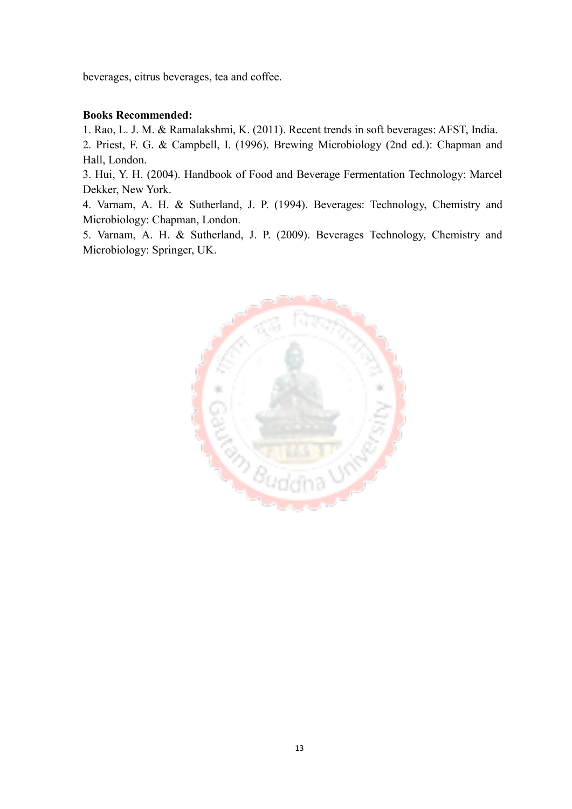beverages, citrus beverages, tea and coffee.

#### **Books Recommended:**

1. Rao, L. J. M. & Ramalakshmi, K. (2011). Recent trends in soft beverages: AFST, India. 2. Priest, F. G. & Campbell, I. (1996). Brewing Microbiology (2nd ed.): Chapman and Hall, London.

3. Hui, Y. H. (2004). Handbook of Food and Beverage Fermentation Technology: Marcel Dekker, New York.

4. Varnam, A. H. & Sutherland, J. P. (1994). Beverages: Technology, Chemistry and Microbiology: Chapman, London.

5. Varnam, A. H. & Sutherland, J. P. (2009). Beverages Technology, Chemistry and Microbiology: Springer, UK.

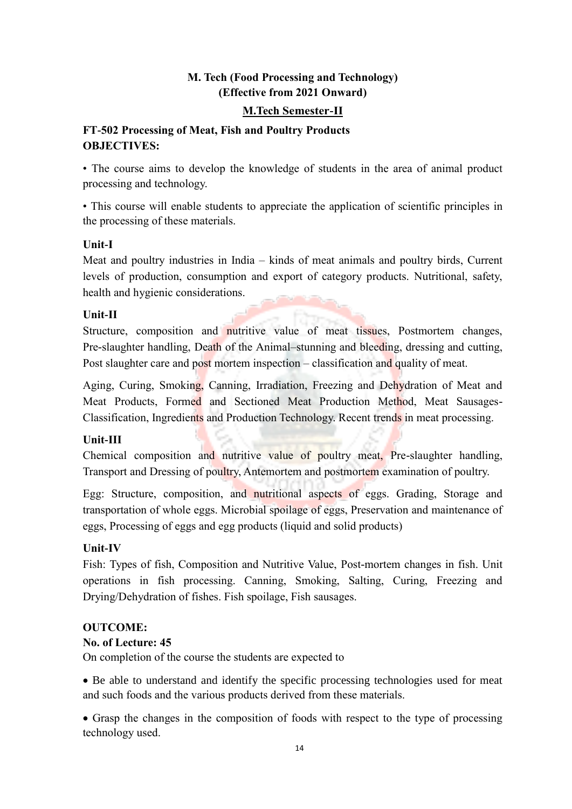### **M. Tech (Food Processing and Technology) (Effective from 2021 Onward)**

### **M.Tech Semester-II**

### **FT-502 Processing of Meat, Fish and Poultry Products OBJECTIVES:**

• The course aims to develop the knowledge of students in the area of animal product processing and technology.

• This course will enable students to appreciate the application of scientific principles in the processing of these materials.

### **Unit-I**

Meat and poultry industries in India – kinds of meat animals and poultry birds, Current levels of production, consumption and export of category products. Nutritional, safety, health and hygienic considerations.

### **Unit-II**

Structure, composition and nutritive value of meat tissues, Postmortem changes, Pre-slaughter handling, Death of the Animal–stunning and bleeding, dressing and cutting, Post slaughter care and post mortem inspection – classification and quality of meat.

Aging, Curing, Smoking, Canning, Irradiation, Freezing and Dehydration of Meat and Meat Products, Formed and Sectioned Meat Production Method, Meat Sausages-Classification, Ingredients and Production Technology. Recent trends in meat processing.

### **Unit-III**

Chemical composition and nutritive value of poultry meat, Pre-slaughter handling, Transport and Dressing of poultry, Antemortem and postmortem examination of poultry.

Egg: Structure, composition, and nutritional aspects of eggs. Grading, Storage and transportation of whole eggs. Microbial spoilage of eggs, Preservation and maintenance of eggs, Processing of eggs and egg products (liquid and solid products)

### **Unit-IV**

Fish: Types of fish, Composition and Nutritive Value, Post-mortem changes in fish. Unit operations in fish processing. Canning, Smoking, Salting, Curing, Freezing and Drying/Dehydration of fishes. Fish spoilage, Fish sausages.

### **OUTCOME:**

### **No. of Lecture: 45**

On completion of the course the students are expected to

 Be able to understand and identify the specific processing technologies used for meat and such foods and the various products derived from these materials.

 Grasp the changes in the composition of foods with respect to the type of processing technology used.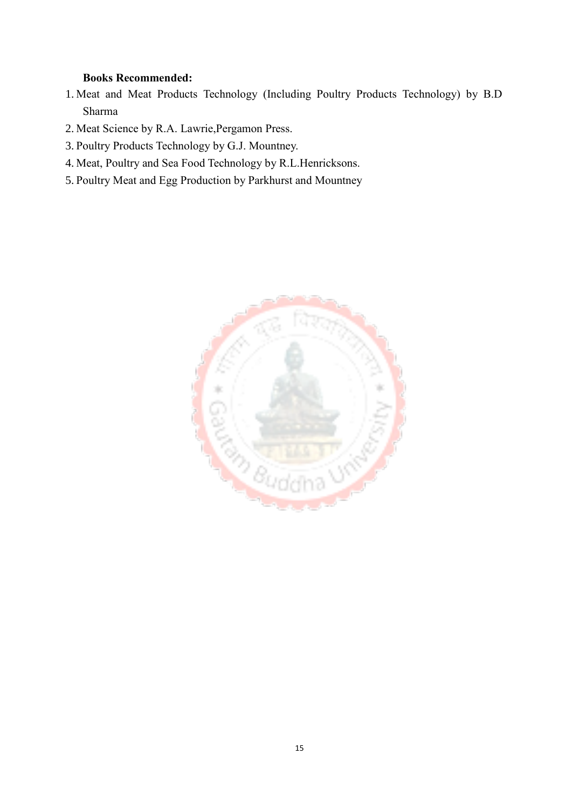#### **Books Recommended:**

- 1. Meat and Meat Products Technology (Including Poultry Products Technology) by B.D Sharma
- 2. Meat Science by R.A. Lawrie,Pergamon Press.
- 3. Poultry Products Technology by G.J. Mountney.
- 4. Meat, Poultry and Sea Food Technology by R.L.Henricksons.
- 5. Poultry Meat and Egg Production by Parkhurst and Mountney

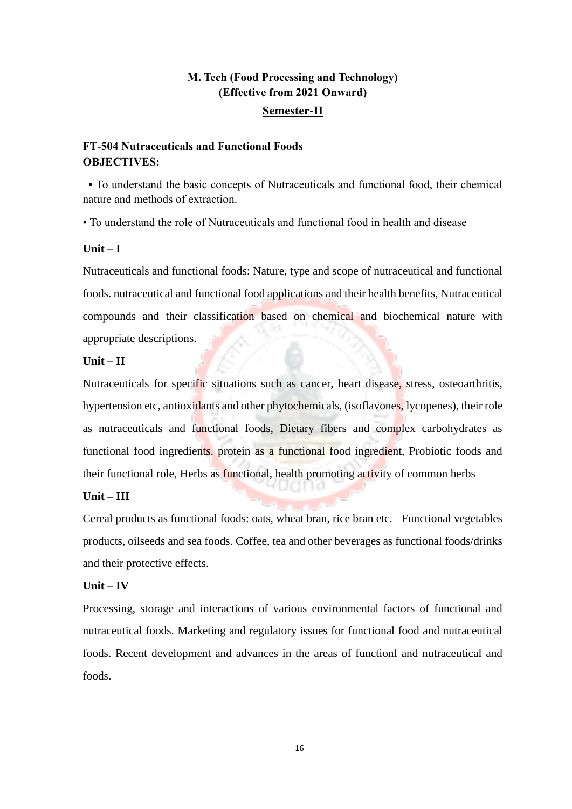### **M. Tech (Food Processing and Technology) (Effective from 2021 Onward) Semester-II**

### **FT-504 Nutraceuticals and Functional Foods OBJECTIVES:**

• To understand the basic concepts of Nutraceuticals and functional food, their chemical nature and methods of extraction.

• To understand the role of Nutraceuticals and functional food in health and disease

#### **Unit – I**

Nutraceuticals and functional foods: Nature, type and scope of nutraceutical and functional foods. nutraceutical and functional food applications and their health benefits, Nutraceutical compounds and their classification based on chemical and biochemical nature with appropriate descriptions.

#### **Unit – II**

Nutraceuticals for specific situations such as cancer, heart disease, stress, osteoarthritis, hypertension etc, antioxidants and other phytochemicals, (isoflavones, lycopenes), their role as nutraceuticals and functional foods, Dietary fibers and complex carbohydrates as functional food ingredients. protein as a functional food ingredient, Probiotic foods and their functional role, Herbs as functional, health promoting activity of common herbs

### **Unit – III**

Cereal products as functional foods: oats, wheat bran, rice bran etc. Functional vegetables products, oilseeds and sea foods. Coffee, tea and other beverages as functional foods/drinks and their protective effects.

### **Unit – IV**

Processing, storage and interactions of various environmental factors of functional and nutraceutical foods. Marketing and regulatory issues for functional food and nutraceutical foods. Recent development and advances in the areas of functionl and nutraceutical and foods.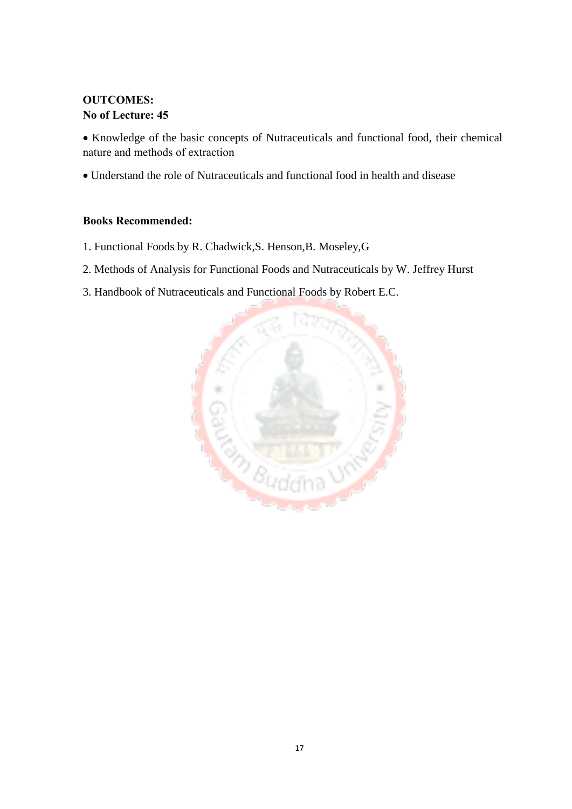### **OUTCOMES: No of Lecture: 45**

 Knowledge of the basic concepts of Nutraceuticals and functional food, their chemical nature and methods of extraction

Understand the role of Nutraceuticals and functional food in health and disease

#### **Books Recommended:**

- 1. Functional Foods by R. Chadwick,S. Henson,B. Moseley,G
- 2. Methods of Analysis for Functional Foods and Nutraceuticals by W. Jeffrey Hurst
- 3. Handbook of Nutraceuticals and Functional Foods by Robert E.C.

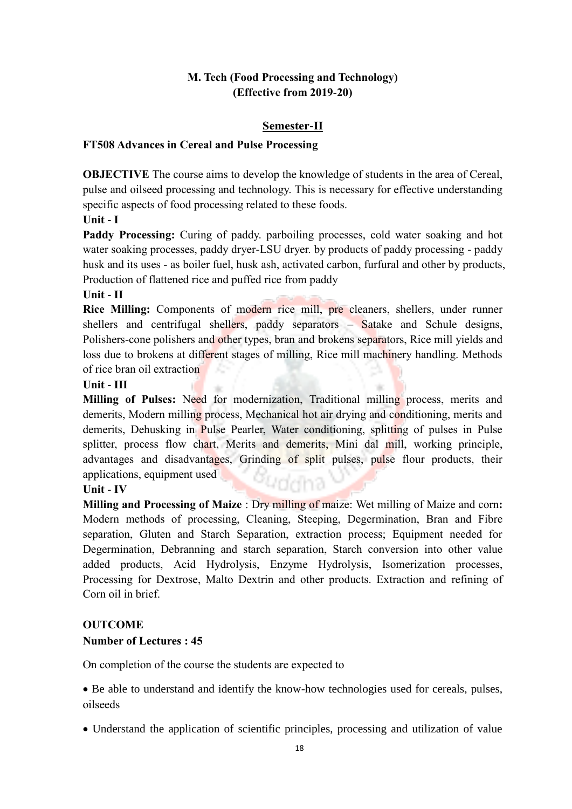### **M. Tech (Food Processing and Technology) (Effective from 2019-20)**

#### **Semester-II**

#### **FT508 Advances in Cereal and Pulse Processing**

**OBJECTIVE** The course aims to develop the knowledge of students in the area of Cereal, pulse and oilseed processing and technology. This is necessary for effective understanding specific aspects of food processing related to these foods.

**Unit - I** 

Paddy Processing: Curing of paddy. parboiling processes, cold water soaking and hot water soaking processes, paddy dryer-LSU dryer. by products of paddy processing - paddy husk and its uses - as boiler fuel, husk ash, activated carbon, furfural and other by products, Production of flattened rice and puffed rice from paddy

#### **Unit - II**

**Rice Milling:** Components of modern rice mill, pre cleaners, shellers, under runner shellers and centrifugal shellers, paddy separators – Satake and Schule designs, Polishers-cone polishers and other types, bran and brokens separators, Rice mill yields and loss due to brokens at different stages of milling, Rice mill machinery handling. Methods of rice bran oil extraction

#### **Unit - III**

**Milling of Pulses:** Need for modernization, Traditional milling process, merits and demerits, Modern milling process, Mechanical hot air drying and conditioning, merits and demerits, Dehusking in Pulse Pearler, Water conditioning, splitting of pulses in Pulse splitter, process flow chart, Merits and demerits, Mini dal mill, working principle, advantages and disadvantages, Grinding of split pulses, pulse flour products, their applications, equipment used .<br>Yddha

#### **Unit - IV**

**Milling and Processing of Maize** : Dry milling of maize: Wet milling of Maize and corn**:**  Modern methods of processing, Cleaning, Steeping, Degermination, Bran and Fibre separation, Gluten and Starch Separation, extraction process; Equipment needed for Degermination, Debranning and starch separation, Starch conversion into other value added products, Acid Hydrolysis, Enzyme Hydrolysis, Isomerization processes, Processing for Dextrose, Malto Dextrin and other products. Extraction and refining of Corn oil in brief.

### **OUTCOME**

#### **Number of Lectures : 45**

On completion of the course the students are expected to

• Be able to understand and identify the know-how technologies used for cereals, pulses, oilseeds

Understand the application of scientific principles, processing and utilization of value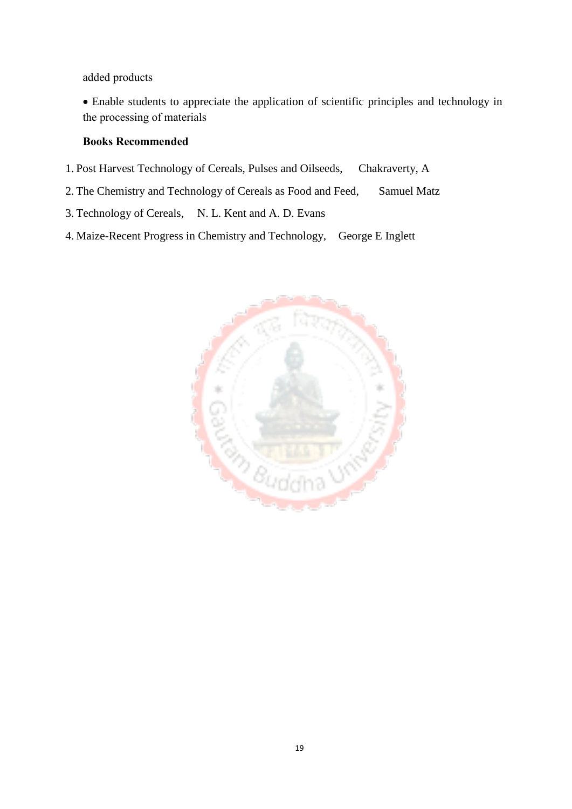added products

 Enable students to appreciate the application of scientific principles and technology in the processing of materials

#### **Books Recommended**

- 1. Post Harvest Technology of Cereals, Pulses and Oilseeds, Chakraverty, A
- 2. The Chemistry and Technology of Cereals as Food and Feed, Samuel Matz
- 3. Technology of Cereals, N. L. Kent and A. D. Evans
- 4. Maize-Recent Progress in Chemistry and Technology, George E Inglett

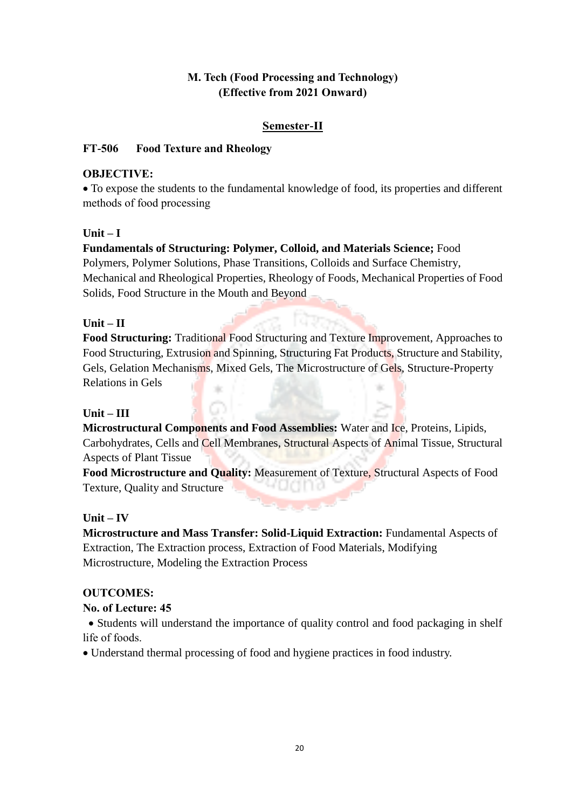### **M. Tech (Food Processing and Technology) (Effective from 2021 Onward)**

### **Semester-II**

### **FT-506 Food Texture and Rheology**

### **OBJECTIVE:**

 To expose the students to the fundamental knowledge of food, its properties and different methods of food processing

### $Unit - I$

### **Fundamentals of Structuring: Polymer, Colloid, and Materials Science;** Food Polymers, Polymer Solutions, Phase Transitions, Colloids and Surface Chemistry, Mechanical and Rheological Properties, Rheology of Foods, Mechanical Properties of Food Solids, Food Structure in the Mouth and Beyond

### **Unit – II**

**Food Structuring:** Traditional Food Structuring and Texture Improvement, Approaches to Food Structuring, Extrusion and Spinning, Structuring Fat Products, Structure and Stability, Gels, Gelation Mechanisms, Mixed Gels, The Microstructure of Gels, Structure-Property Relations in Gels th.

### **Unit – III**

**Microstructural Components and Food Assemblies:** Water and Ice, Proteins, Lipids, Carbohydrates, Cells and Cell Membranes, Structural Aspects of Animal Tissue, Structural Aspects of Plant Tissue

**Food Microstructure and Quality:** Measurement of Texture, Structural Aspects of Food Texture, Quality and Structure 169

### **Unit – IV**

**Microstructure and Mass Transfer: Solid-Liquid Extraction:** Fundamental Aspects of Extraction, The Extraction process, Extraction of Food Materials, Modifying Microstructure, Modeling the Extraction Process

### **OUTCOMES:**

### **No. of Lecture: 45**

• Students will understand the importance of quality control and food packaging in shelf life of foods.

Understand thermal processing of food and hygiene practices in food industry.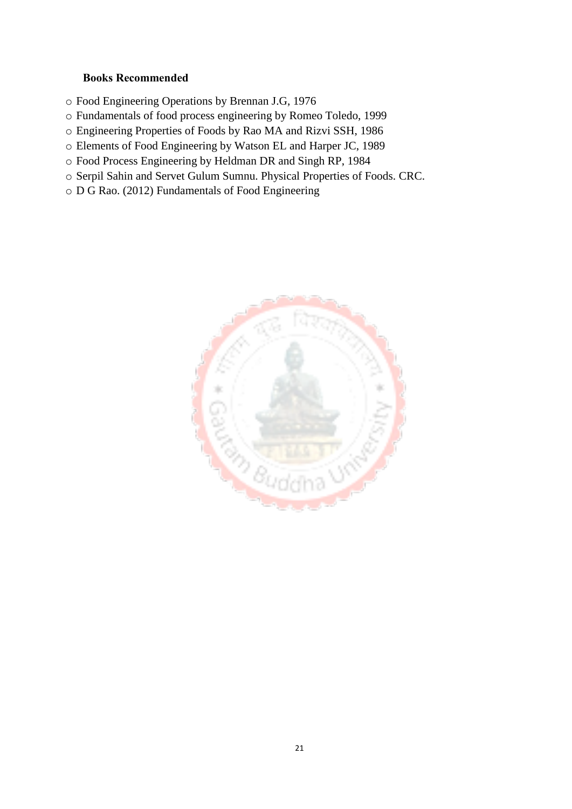#### **Books Recommended**

- o Food Engineering Operations by Brennan J.G, 1976
- o Fundamentals of food process engineering by Romeo Toledo, 1999
- o Engineering Properties of Foods by Rao MA and Rizvi SSH, 1986
- o Elements of Food Engineering by Watson EL and Harper JC, 1989
- o Food Process Engineering by Heldman DR and Singh RP, 1984
- o Serpil Sahin and Servet Gulum Sumnu. Physical Properties of Foods. CRC.
- o D G Rao. (2012) Fundamentals of Food Engineering

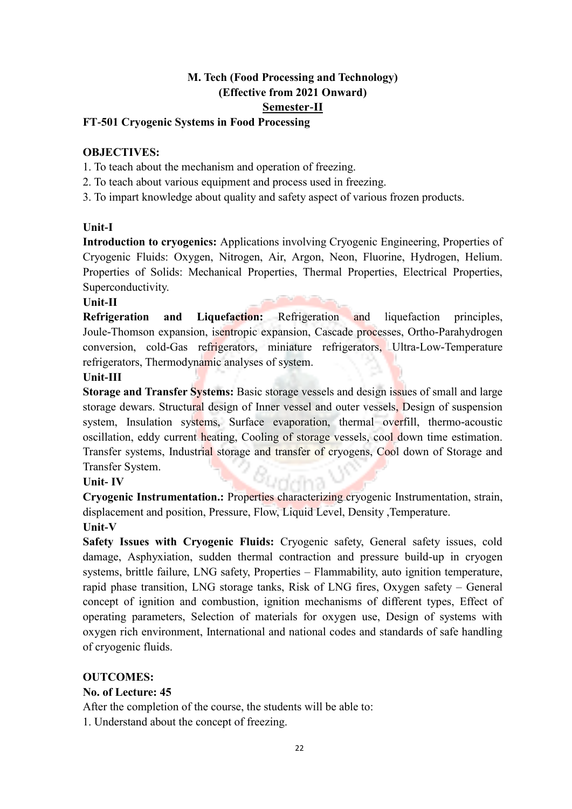### **M. Tech (Food Processing and Technology) (Effective from 2021 Onward) Semester-II**

### **FT-501 Cryogenic Systems in Food Processing**

#### **OBJECTIVES:**

- 1. To teach about the mechanism and operation of freezing.
- 2. To teach about various equipment and process used in freezing.
- 3. To impart knowledge about quality and safety aspect of various frozen products.

#### **Unit-I**

**Introduction to cryogenics:** Applications involving Cryogenic Engineering, Properties of Cryogenic Fluids: Oxygen, Nitrogen, Air, Argon, Neon, Fluorine, Hydrogen, Helium. Properties of Solids: Mechanical Properties, Thermal Properties, Electrical Properties, Superconductivity.

#### **Unit-II**

**Refrigeration and Liquefaction:** Refrigeration and liquefaction principles, Joule-Thomson expansion, isentropic expansion, Cascade processes, Ortho-Parahydrogen conversion, cold-Gas refrigerators, miniature refrigerators, Ultra-Low-Temperature refrigerators, Thermodynamic analyses of system.

#### **Unit-III**

**Storage and Transfer Systems:** Basic storage vessels and design issues of small and large storage dewars. Structural design of Inner vessel and outer vessels, Design of suspension system, Insulation systems, Surface evaporation, thermal overfill, thermo-acoustic oscillation, eddy current heating, Cooling of storage vessels, cool down time estimation. Transfer systems, Industrial storage and transfer of cryogens, Cool down of Storage and Transfer System.

#### **Unit- IV**

**Cryogenic Instrumentation.:** Properties characterizing cryogenic Instrumentation, strain, displacement and position, Pressure, Flow, Liquid Level, Density ,Temperature. **Unit-V**

**Safety Issues with Cryogenic Fluids:** Cryogenic safety, General safety issues, cold damage, Asphyxiation, sudden thermal contraction and pressure build-up in cryogen systems, brittle failure, LNG safety, Properties – Flammability, auto ignition temperature, rapid phase transition, LNG storage tanks, Risk of LNG fires, Oxygen safety – General concept of ignition and combustion, ignition mechanisms of different types, Effect of operating parameters, Selection of materials for oxygen use, Design of systems with oxygen rich environment, International and national codes and standards of safe handling of cryogenic fluids.

### **OUTCOMES:**

#### **No. of Lecture: 45**

After the completion of the course, the students will be able to:

1. Understand about the concept of freezing.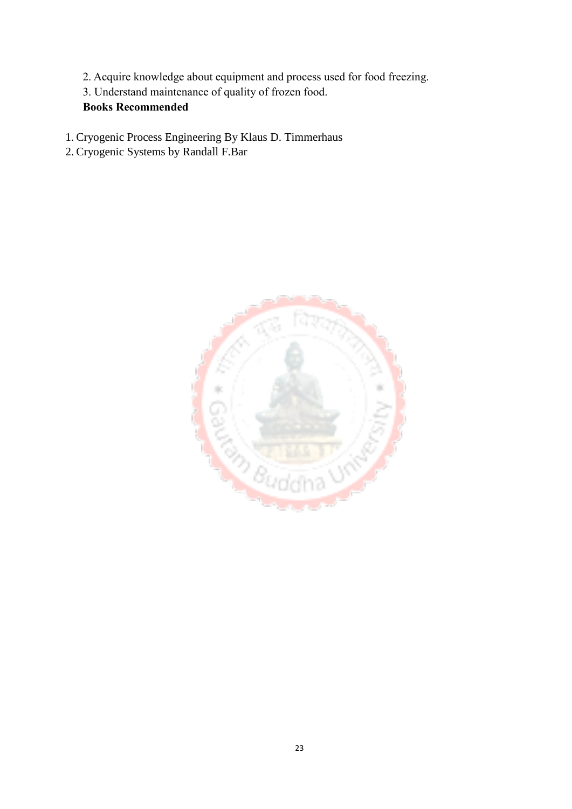- 2. Acquire knowledge about equipment and process used for food freezing.
- 3. Understand maintenance of quality of frozen food.

### **Books Recommended**

- 1. Cryogenic Process Engineering By Klaus D. Timmerhaus
- 2. Cryogenic Systems by Randall F.Bar

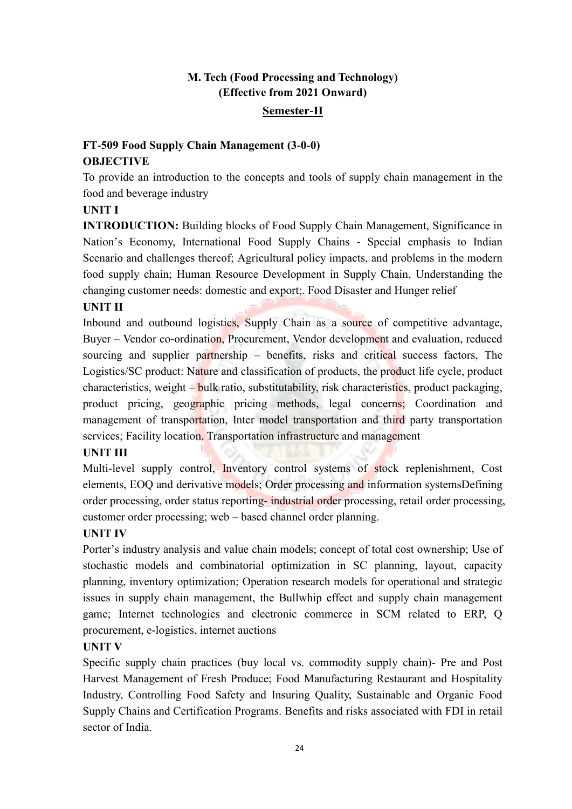### **M. Tech (Food Processing and Technology) (Effective from 2021 Onward) Semester-II**

### **FT-509 Food Supply Chain Management (3-0-0) OBJECTIVE**

To provide an introduction to the concepts and tools of supply chain management in the food and beverage industry

### **UNIT I**

**INTRODUCTION:** Building blocks of Food Supply Chain Management, Significance in Nation's Economy, International Food Supply Chains - Special emphasis to Indian Scenario and challenges thereof; Agricultural policy impacts, and problems in the modern food supply chain; Human Resource Development in Supply Chain, Understanding the changing customer needs: domestic and export;. Food Disaster and Hunger relief

### **UNIT II**

Inbound and outbound logistics, Supply Chain as a source of competitive advantage, Buyer – Vendor co-ordination, Procurement, Vendor development and evaluation, reduced sourcing and supplier partnership – benefits, risks and critical success factors, The Logistics/SC product: Nature and classification of products, the product life cycle, product characteristics, weight – bulk ratio, substitutability, risk characteristics, product packaging, product pricing, geographic pricing methods, legal concerns; Coordination and management of transportation, Inter model transportation and third party transportation services; Facility location, Transportation infrastructure and management

### **UNIT III**

Multi-level supply control, Inventory control systems of stock replenishment, Cost elements, EOQ and derivative models; Order processing and information systemsDefining order processing, order status reporting- industrial order processing, retail order processing, customer order processing; web – based channel order planning.

### **UNIT IV**

Porter's industry analysis and value chain models; concept of total cost ownership; Use of stochastic models and combinatorial optimization in SC planning, layout, capacity planning, inventory optimization; Operation research models for operational and strategic issues in supply chain management, the Bullwhip effect and supply chain management game; Internet technologies and electronic commerce in SCM related to ERP, Q procurement, e-logistics, internet auctions

### **UNIT V**

Specific supply chain practices (buy local vs. commodity supply chain)- Pre and Post Harvest Management of Fresh Produce; Food Manufacturing Restaurant and Hospitality Industry, Controlling Food Safety and Insuring Quality, Sustainable and Organic Food Supply Chains and Certification Programs. Benefits and risks associated with FDI in retail sector of India.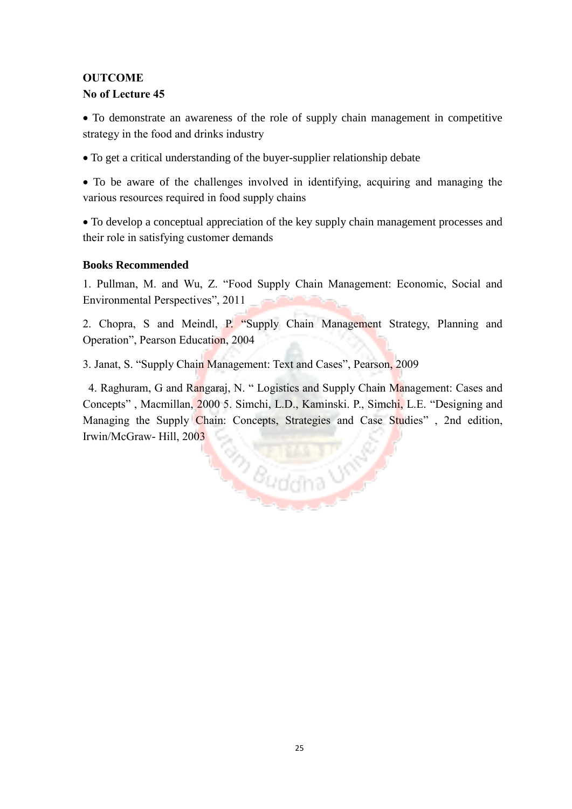### **OUTCOME**

#### **No of Lecture 45**

 To demonstrate an awareness of the role of supply chain management in competitive strategy in the food and drinks industry

To get a critical understanding of the buyer-supplier relationship debate

 To be aware of the challenges involved in identifying, acquiring and managing the various resources required in food supply chains

 To develop a conceptual appreciation of the key supply chain management processes and their role in satisfying customer demands

### **Books Recommended**

1. Pullman, M. and Wu, Z. "Food Supply Chain Management: Economic, Social and Environmental Perspectives", 2011

2. Chopra, S and Meindl, P. "Supply Chain Management Strategy, Planning and Operation", Pearson Education, 2004

3. Janat, S. "Supply Chain Management: Text and Cases", Pearson, 2009

4. Raghuram, G and Rangaraj, N. " Logistics and Supply Chain Management: Cases and Concepts" , Macmillan, 2000 5. Simchi, L.D., Kaminski. P., Simchi, L.E. "Designing and Managing the Supply Chain: Concepts, Strategies and Case Studies" , 2nd edition, Irwin/McGraw- Hill, 2003**Buddha USA**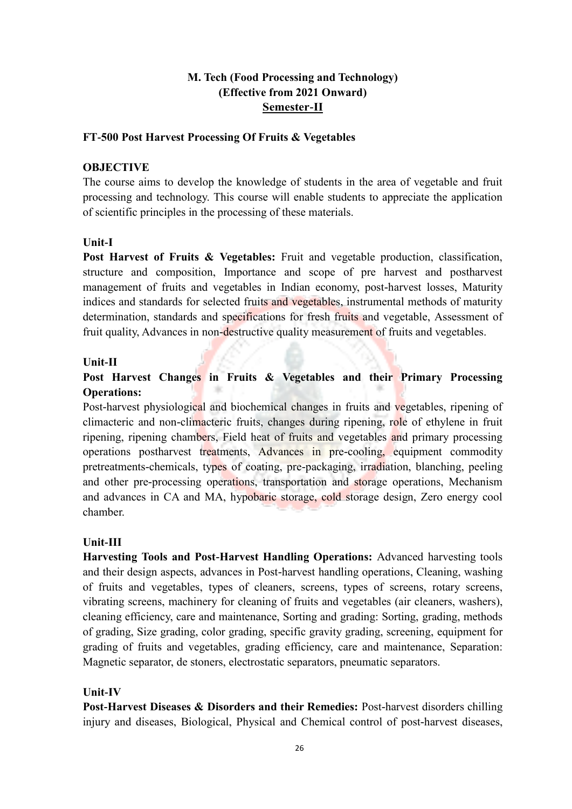### **M. Tech (Food Processing and Technology) (Effective from 2021 Onward) Semester-II**

#### **FT-500 Post Harvest Processing Of Fruits & Vegetables**

#### **OBJECTIVE**

The course aims to develop the knowledge of students in the area of vegetable and fruit processing and technology. This course will enable students to appreciate the application of scientific principles in the processing of these materials.

#### **Unit-I**

**Post Harvest of Fruits & Vegetables:** Fruit and vegetable production, classification, structure and composition, Importance and scope of pre harvest and postharvest management of fruits and vegetables in Indian economy, post-harvest losses, Maturity indices and standards for selected fruits and vegetables, instrumental methods of maturity determination, standards and specifications for fresh fruits and vegetable, Assessment of fruit quality, Advances in non-destructive quality measurement of fruits and vegetables.

#### **Unit-II**

### **Post Harvest Changes in Fruits & Vegetables and their Primary Processing Operations:**

Post-harvest physiological and biochemical changes in fruits and vegetables, ripening of climacteric and non-climacteric fruits, changes during ripening, role of ethylene in fruit ripening, ripening chambers, Field heat of fruits and vegetables and primary processing operations postharvest treatments, Advances in pre-cooling, equipment commodity pretreatments-chemicals, types of coating, pre-packaging, irradiation, blanching, peeling and other pre-processing operations, transportation and storage operations, Mechanism and advances in CA and MA, hypobaric storage, cold storage design, Zero energy cool chamber.

#### **Unit-III**

**Harvesting Tools and Post-Harvest Handling Operations:** Advanced harvesting tools and their design aspects, advances in Post-harvest handling operations, Cleaning, washing of fruits and vegetables, types of cleaners, screens, types of screens, rotary screens, vibrating screens, machinery for cleaning of fruits and vegetables (air cleaners, washers), cleaning efficiency, care and maintenance, Sorting and grading: Sorting, grading, methods of grading, Size grading, color grading, specific gravity grading, screening, equipment for grading of fruits and vegetables, grading efficiency, care and maintenance, Separation: Magnetic separator, de stoners, electrostatic separators, pneumatic separators.

#### **Unit-IV**

**Post-Harvest Diseases & Disorders and their Remedies:** Post-harvest disorders chilling injury and diseases, Biological, Physical and Chemical control of post-harvest diseases,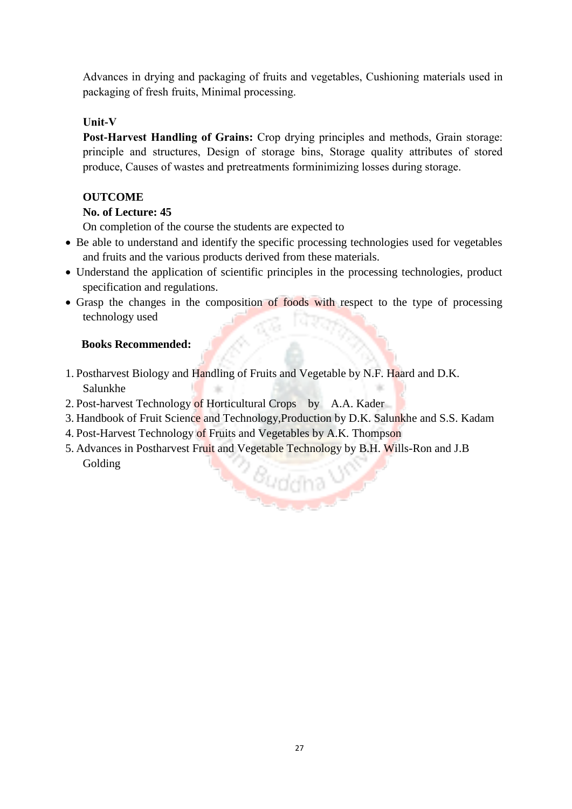Advances in drying and packaging of fruits and vegetables, Cushioning materials used in packaging of fresh fruits, Minimal processing.

#### **Unit-V**

**Post-Harvest Handling of Grains:** Crop drying principles and methods, Grain storage: principle and structures, Design of storage bins, Storage quality attributes of stored produce, Causes of wastes and pretreatments forminimizing losses during storage.

#### **OUTCOME**

#### **No. of Lecture: 45**

On completion of the course the students are expected to

- Be able to understand and identify the specific processing technologies used for vegetables and fruits and the various products derived from these materials.
- Understand the application of scientific principles in the processing technologies, product specification and regulations.
- Grasp the changes in the composition of foods with respect to the type of processing technology used

#### **Books Recommended:**

- 1. Postharvest Biology and Handling of Fruits and Vegetable by N.F. Haard and D.K. Salunkhe
- 2. Post-harvest Technology of Horticultural Crops by A.A. Kader
- 3. Handbook of Fruit Science and Technology,Production by D.K. Salunkhe and S.S. Kadam
- 4. Post-Harvest Technology of Fruits and Vegetables by A.K. Thompson
- 5. Advances in Postharvest Fruit and Vegetable Technology by B.H. Wills-Ron and J.B Golding*<i><u>Buddha*</u>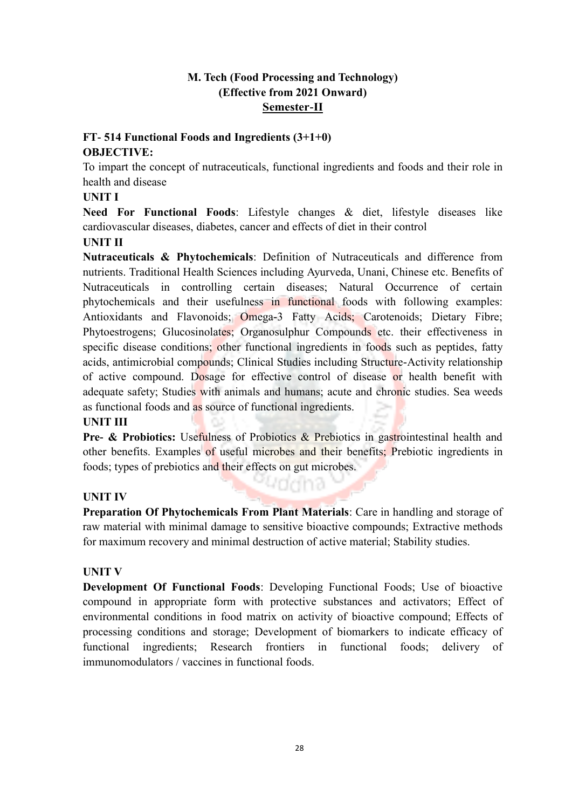### **M. Tech (Food Processing and Technology) (Effective from 2021 Onward) Semester-II**

### **FT- 514 Functional Foods and Ingredients (3+1+0) OBJECTIVE:**

To impart the concept of nutraceuticals, functional ingredients and foods and their role in health and disease

### **UNIT I**

**Need For Functional Foods**: Lifestyle changes & diet, lifestyle diseases like cardiovascular diseases, diabetes, cancer and effects of diet in their control

### **UNIT II**

**Nutraceuticals & Phytochemicals**: Definition of Nutraceuticals and difference from nutrients. Traditional Health Sciences including Ayurveda, Unani, Chinese etc. Benefits of Nutraceuticals in controlling certain diseases; Natural Occurrence of certain phytochemicals and their usefulness in functional foods with following examples: Antioxidants and Flavonoids; Omega-3 Fatty Acids; Carotenoids; Dietary Fibre; Phytoestrogens; Glucosinolates; Organosulphur Compounds etc. their effectiveness in specific disease conditions; other functional ingredients in foods such as peptides, fatty acids, antimicrobial compounds; Clinical Studies including Structure-Activity relationship of active compound. Dosage for effective control of disease or health benefit with adequate safety; Studies with animals and humans; acute and chronic studies. Sea weeds as functional foods and as source of functional ingredients.

### **UNIT III**

**Pre- & Probiotics:** Usefulness of Probiotics & Prebiotics in gastrointestinal health and other benefits. Examples of useful microbes and their benefits; Prebiotic ingredients in foods; types of prebiotics and their effects on gut microbes.

uddha

### **UNIT IV**

**Preparation Of Phytochemicals From Plant Materials**: Care in handling and storage of raw material with minimal damage to sensitive bioactive compounds; Extractive methods for maximum recovery and minimal destruction of active material; Stability studies.

### **UNIT V**

**Development Of Functional Foods**: Developing Functional Foods; Use of bioactive compound in appropriate form with protective substances and activators; Effect of environmental conditions in food matrix on activity of bioactive compound; Effects of processing conditions and storage; Development of biomarkers to indicate efficacy of functional ingredients; Research frontiers in functional foods; delivery of immunomodulators / vaccines in functional foods.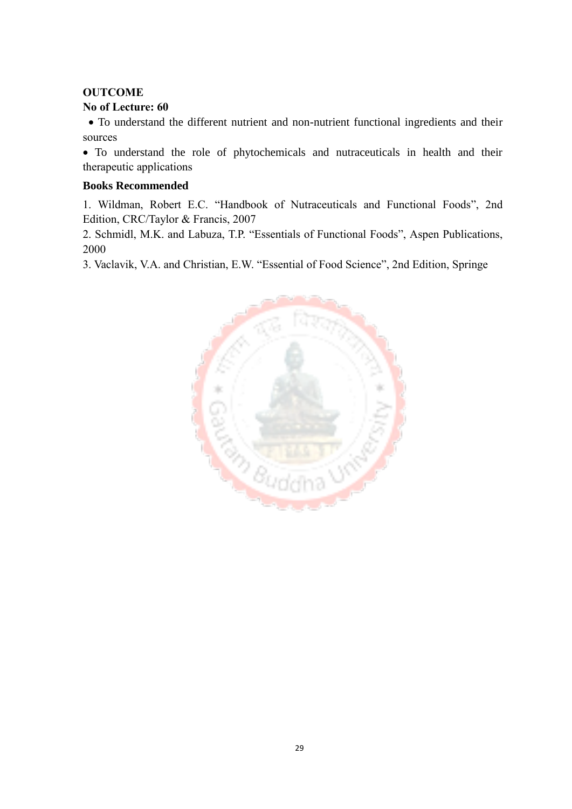### **OUTCOME**

#### **No of Lecture: 60**

 To understand the different nutrient and non-nutrient functional ingredients and their sources

 To understand the role of phytochemicals and nutraceuticals in health and their therapeutic applications

#### **Books Recommended**

1. Wildman, Robert E.C. "Handbook of Nutraceuticals and Functional Foods", 2nd Edition, CRC/Taylor & Francis, 2007

2. Schmidl, M.K. and Labuza, T.P. "Essentials of Functional Foods", Aspen Publications, 2000

3. Vaclavik, V.A. and Christian, E.W. "Essential of Food Science", 2nd Edition, Springe

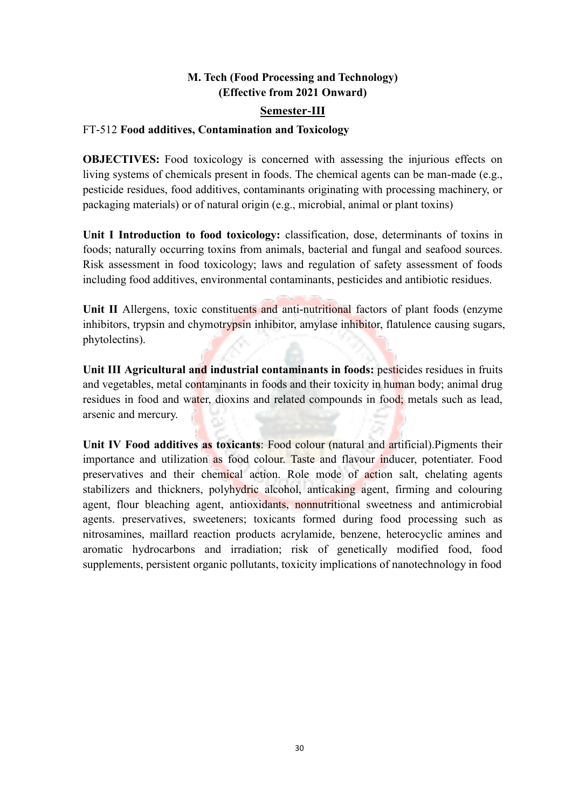### **M. Tech (Food Processing and Technology) (Effective from 2021 Onward)**

#### **Semester-III**

#### FT-512 **Food additives, Contamination and Toxicology**

**OBJECTIVES:** Food toxicology is concerned with assessing the injurious effects on living systems of chemicals present in foods. The chemical agents can be man-made (e.g., pesticide residues, food additives, contaminants originating with processing machinery, or packaging materials) or of natural origin (e.g., microbial, animal or plant toxins)

**Unit I Introduction to food toxicology:** classification, dose, determinants of toxins in foods; naturally occurring toxins from animals, bacterial and fungal and seafood sources. Risk assessment in food toxicology; laws and regulation of safety assessment of foods including food additives, environmental contaminants, pesticides and antibiotic residues.

Unit II Allergens, toxic constituents and anti-nutritional factors of plant foods (enzyme inhibitors, trypsin and chymotrypsin inhibitor, amylase inhibitor, flatulence causing sugars, phytolectins).

**Unit III Agricultural and industrial contaminants in foods:** pesticides residues in fruits and vegetables, metal contaminants in foods and their toxicity in human body; animal drug residues in food and water, dioxins and related compounds in food; metals such as lead, arsenic and mercury.

**Unit IV Food additives as toxicants**: Food colour (natural and artificial).Pigments their importance and utilization as food colour. Taste and flavour inducer, potentiater. Food preservatives and their chemical action. Role mode of action salt, chelating agents stabilizers and thickners, polyhydric alcohol, anticaking agent, firming and colouring agent, flour bleaching agent, antioxidants, nonnutritional sweetness and antimicrobial agents. preservatives, sweeteners; toxicants formed during food processing such as nitrosamines, maillard reaction products acrylamide, benzene, heterocyclic amines and aromatic hydrocarbons and irradiation; risk of genetically modified food, food supplements, persistent organic pollutants, toxicity implications of nanotechnology in food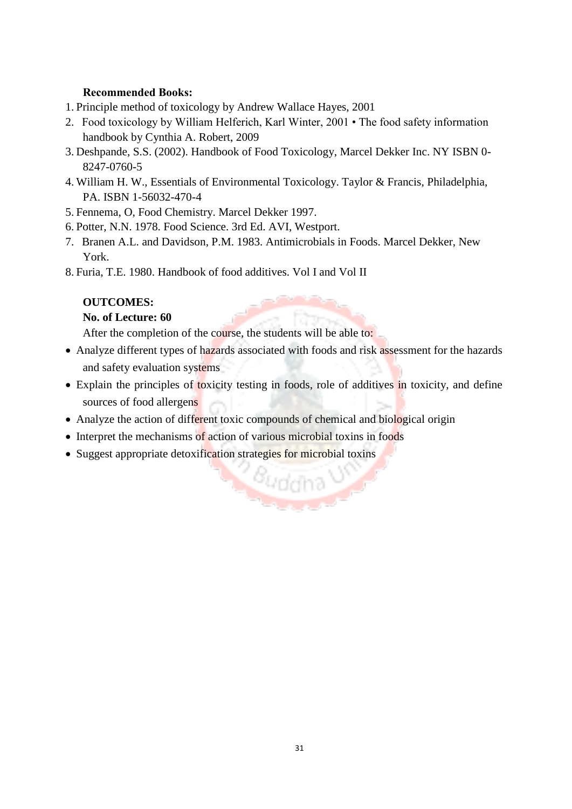### **Recommended Books:**

- 1. Principle method of toxicology by Andrew Wallace Hayes, 2001
- 2. Food toxicology by William Helferich, Karl Winter, 2001 The food safety information handbook by Cynthia A. Robert, 2009
- 3. Deshpande, S.S. (2002). Handbook of Food Toxicology, Marcel Dekker Inc. NY ISBN 0- 8247-0760-5
- 4. William H. W., Essentials of Environmental Toxicology. Taylor & Francis, Philadelphia, PA. ISBN 1-56032-470-4
- 5. Fennema, O, Food Chemistry. Marcel Dekker 1997.
- 6. Potter, N.N. 1978. Food Science. 3rd Ed. AVI, Westport.
- 7. Branen A.L. and Davidson, P.M. 1983. Antimicrobials in Foods. Marcel Dekker, New York.
- 8. Furia, T.E. 1980. Handbook of food additives. Vol I and Vol II

### **OUTCOMES:**

### **No. of Lecture: 60**

After the completion of the course, the students will be able to:

- Analyze different types of hazards associated with foods and risk assessment for the hazards and safety evaluation systems
- Explain the principles of toxicity testing in foods, role of additives in toxicity, and define sources of food allergens

*<u><sup>Buddha*</u></u></sup>

- Analyze the action of different toxic compounds of chemical and biological origin
- Interpret the mechanisms of action of various microbial toxins in foods
- Suggest appropriate detoxification strategies for microbial toxins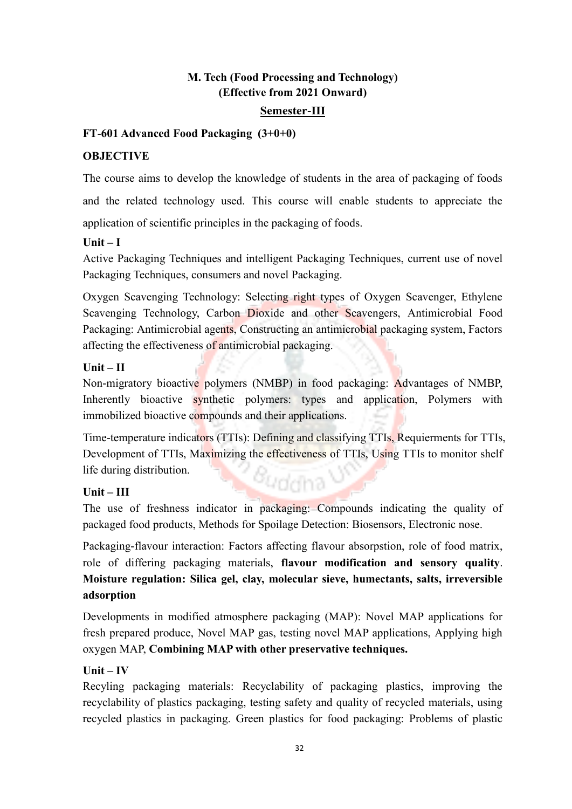### **M. Tech (Food Processing and Technology) (Effective from 2021 Onward)**

### **Semester-III**

### **FT-601 Advanced Food Packaging (3+0+0)**

### **OBJECTIVE**

The course aims to develop the knowledge of students in the area of packaging of foods and the related technology used. This course will enable students to appreciate the application of scientific principles in the packaging of foods.

### **Unit – I**

Active Packaging Techniques and intelligent Packaging Techniques, current use of novel Packaging Techniques, consumers and novel Packaging.

Oxygen Scavenging Technology: Selecting right types of Oxygen Scavenger, Ethylene Scavenging Technology, Carbon Dioxide and other Scavengers, Antimicrobial Food Packaging: Antimicrobial agents, Constructing an antimicrobial packaging system, Factors affecting the effectiveness of antimicrobial packaging.

### **Unit – II**

Non-migratory bioactive polymers (NMBP) in food packaging: Advantages of NMBP, Inherently bioactive synthetic polymers: types and application, Polymers with immobilized bioactive compounds and their applications.

Time-temperature indicators (TTIs): Defining and classifying TTIs, Requierments for TTIs, Development of TTIs, Maximizing the effectiveness of TTIs, Using TTIs to monitor shelf life during distribution. *<sup>Buda*na V</sup>

### **Unit – III**

The use of freshness indicator in packaging: Compounds indicating the quality of packaged food products, Methods for Spoilage Detection: Biosensors, Electronic nose.

Packaging-flavour interaction: Factors affecting flavour absorpstion, role of food matrix, role of differing packaging materials, **flavour modification and sensory quality**. **Moisture regulation: Silica gel, clay, molecular sieve, humectants, salts, irreversible adsorption** 

Developments in modified atmosphere packaging (MAP): Novel MAP applications for fresh prepared produce, Novel MAP gas, testing novel MAP applications, Applying high oxygen MAP, **Combining MAP with other preservative techniques.**

### **Unit – IV**

Recyling packaging materials: Recyclability of packaging plastics, improving the recyclability of plastics packaging, testing safety and quality of recycled materials, using recycled plastics in packaging. Green plastics for food packaging: Problems of plastic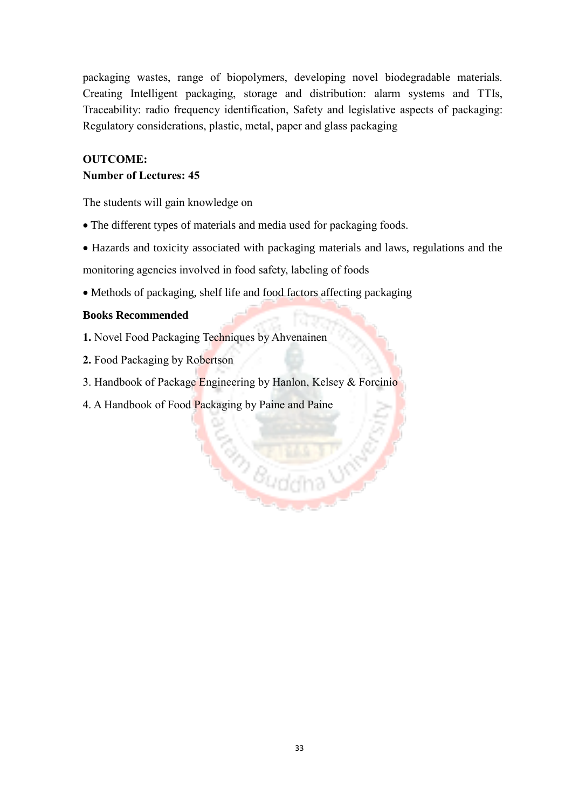packaging wastes, range of biopolymers, developing novel biodegradable materials. Creating Intelligent packaging, storage and distribution: alarm systems and TTIs, Traceability: radio frequency identification, Safety and legislative aspects of packaging: Regulatory considerations, plastic, metal, paper and glass packaging

#### **OUTCOME:**

#### **Number of Lectures: 45**

The students will gain knowledge on

- The different types of materials and media used for packaging foods.
- Hazards and toxicity associated with packaging materials and laws, regulations and the

Buddha UN

monitoring agencies involved in food safety, labeling of foods

Methods of packaging, shelf life and food factors affecting packaging

#### **Books Recommended**

- **1.** Novel Food Packaging Techniques by Ahvenainen
- **2.** Food Packaging by Robertson
- 3. Handbook of Package Engineering by Hanlon, Kelsey & Forcinio
- 4. A Handbook of Food Packaging by Paine and Paine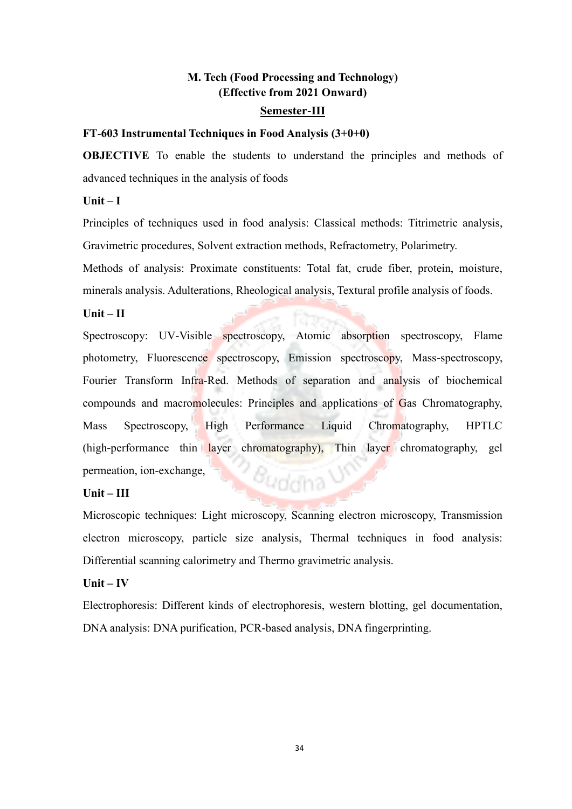## **M. Tech (Food Processing and Technology) (Effective from 2021 Onward)**

#### **Semester-III**

#### **FT-603 Instrumental Techniques in Food Analysis (3+0+0)**

**OBJECTIVE** To enable the students to understand the principles and methods of advanced techniques in the analysis of foods

#### $Unit - I$

Principles of techniques used in food analysis: Classical methods: Titrimetric analysis, Gravimetric procedures, Solvent extraction methods, Refractometry, Polarimetry.

Methods of analysis: Proximate constituents: Total fat, crude fiber, protein, moisture, minerals analysis. Adulterations, Rheological analysis, Textural profile analysis of foods.

#### **Unit – II**

Spectroscopy: UV-Visible spectroscopy, Atomic absorption spectroscopy, Flame photometry, Fluorescence spectroscopy, Emission spectroscopy, Mass-spectroscopy, Fourier Transform Infra-Red. Methods of separation and analysis of biochemical compounds and macromolecules: Principles and applications of Gas Chromatography, Mass Spectroscopy, High Performance Liquid Chromatography, HPTLC (high-performance thin layer chromatography), Thin layer chromatography, gel permeation, ion-exchange, *Buddha* U

#### **Unit – III**

Microscopic techniques: Light microscopy, Scanning electron microscopy, Transmission electron microscopy, particle size analysis, Thermal techniques in food analysis: Differential scanning calorimetry and Thermo gravimetric analysis.

#### **Unit – IV**

Electrophoresis: Different kinds of electrophoresis, western blotting, gel documentation, DNA analysis: DNA purification, PCR-based analysis, DNA fingerprinting.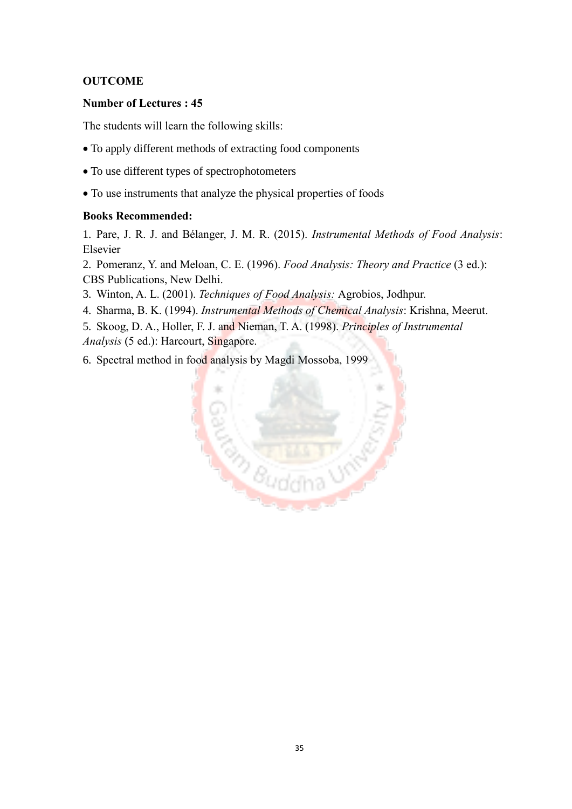### **OUTCOME**

#### **Number of Lectures : 45**

The students will learn the following skills:

- To apply different methods of extracting food components
- To use different types of spectrophotometers
- To use instruments that analyze the physical properties of foods

#### **Books Recommended:**

1. Pare, J. R. J. and Bélanger, J. M. R. (2015). *Instrumental Methods of Food Analysis*: Elsevier

2. Pomeranz, Y. and Meloan, C. E. (1996). *Food Analysis: Theory and Practice* (3 ed.): CBS Publications, New Delhi.

- 3. Winton, A. L. (2001). *Techniques of Food Analysis:* Agrobios, Jodhpur.
- 4. Sharma, B. K. (1994). *Instrumental Methods of Chemical Analysis*: Krishna, Meerut.

5. Skoog, D. A., Holler, F. J. and Nieman, T. A. (1998). *Principles of Instrumental Analysis* (5 ed.): Harcourt, Singapore.

6. Spectral method in food analysis by Magdi Mossoba, 1999

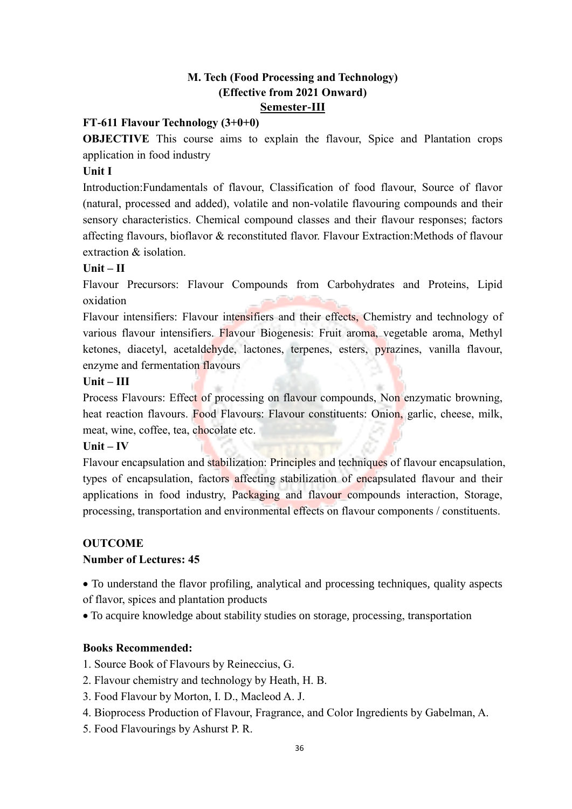### **M. Tech (Food Processing and Technology) (Effective from 2021 Onward) Semester-III**

### **FT-611 Flavour Technology (3+0+0)**

**OBJECTIVE** This course aims to explain the flavour, Spice and Plantation crops application in food industry

#### **Unit I**

Introduction:Fundamentals of flavour, Classification of food flavour, Source of flavor (natural, processed and added), volatile and non-volatile flavouring compounds and their sensory characteristics. Chemical compound classes and their flavour responses; factors affecting flavours, bioflavor & reconstituted flavor. Flavour Extraction:Methods of flavour extraction & isolation.

#### **Unit – II**

Flavour Precursors: Flavour Compounds from Carbohydrates and Proteins, Lipid oxidation

Flavour intensifiers: Flavour intensifiers and their effects, Chemistry and technology of various flavour intensifiers. Flavour Biogenesis: Fruit aroma, vegetable aroma, Methyl ketones, diacetyl, acetaldehyde, lactones, terpenes, esters, pyrazines, vanilla flavour, enzyme and fermentation flavours

#### **Unit – III**

Process Flavours: Effect of processing on flavour compounds, Non enzymatic browning, heat reaction flavours. Food Flavours: Flavour constituents: Onion, garlic, cheese, milk, meat, wine, coffee, tea, chocolate etc.

#### **Unit – IV**

Flavour encapsulation and stabilization: Principles and techniques of flavour encapsulation, types of encapsulation, factors affecting stabilization of encapsulated flavour and their applications in food industry, Packaging and flavour compounds interaction, Storage, processing, transportation and environmental effects on flavour components / constituents.

### **OUTCOME**

### **Number of Lectures: 45**

 To understand the flavor profiling, analytical and processing techniques, quality aspects of flavor, spices and plantation products

To acquire knowledge about stability studies on storage, processing, transportation

#### **Books Recommended:**

1. Source Book of Flavours by Reineccius, G.

- 2. Flavour chemistry and technology by Heath, H. B.
- 3. Food Flavour by Morton, I. D., Macleod A. J.
- 4. Bioprocess Production of Flavour, Fragrance, and Color Ingredients by Gabelman, A.
- 5. Food Flavourings by Ashurst P. R.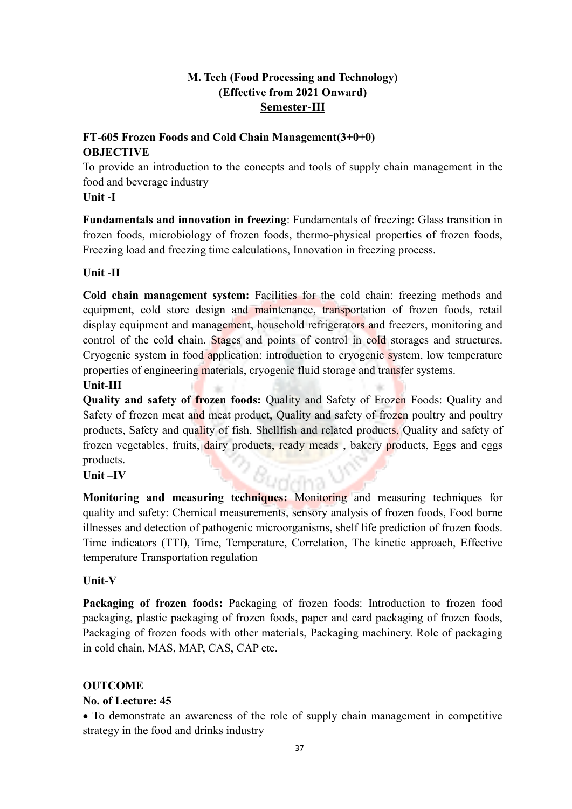### **M. Tech (Food Processing and Technology) (Effective from 2021 Onward) Semester-III**

### **FT-605 Frozen Foods and Cold Chain Management(3+0+0) OBJECTIVE**

To provide an introduction to the concepts and tools of supply chain management in the food and beverage industry

### **Unit -I**

**Fundamentals and innovation in freezing**: Fundamentals of freezing: Glass transition in frozen foods, microbiology of frozen foods, thermo-physical properties of frozen foods, Freezing load and freezing time calculations, Innovation in freezing process.

### **Unit -II**

**Cold chain management system:** Facilities for the cold chain: freezing methods and equipment, cold store design and maintenance, transportation of frozen foods, retail display equipment and management, household refrigerators and freezers, monitoring and control of the cold chain. Stages and points of control in cold storages and structures. Cryogenic system in food application: introduction to cryogenic system, low temperature properties of engineering materials, cryogenic fluid storage and transfer systems.

### **Unit-III**

**Quality and safety of frozen foods:** Quality and Safety of Frozen Foods: Quality and Safety of frozen meat and meat product, Quality and safety of frozen poultry and poultry products, Safety and quality of fish, Shellfish and related products, Quality and safety of frozen vegetables, fruits, dairy products, ready meads, bakery products, Eggs and eggs products.

### **Unit –IV**

**Monitoring and measuring techniques:** Monitoring and measuring techniques for quality and safety: Chemical measurements, sensory analysis of frozen foods, Food borne illnesses and detection of pathogenic microorganisms, shelf life prediction of frozen foods. Time indicators (TTI), Time, Temperature, Correlation, The kinetic approach, Effective temperature Transportation regulation

### **Unit-V**

Packaging of frozen foods: Packaging of frozen foods: Introduction to frozen food packaging, plastic packaging of frozen foods, paper and card packaging of frozen foods, Packaging of frozen foods with other materials, Packaging machinery. Role of packaging in cold chain, MAS, MAP, CAS, CAP etc.

### **OUTCOME**

### **No. of Lecture: 45**

 To demonstrate an awareness of the role of supply chain management in competitive strategy in the food and drinks industry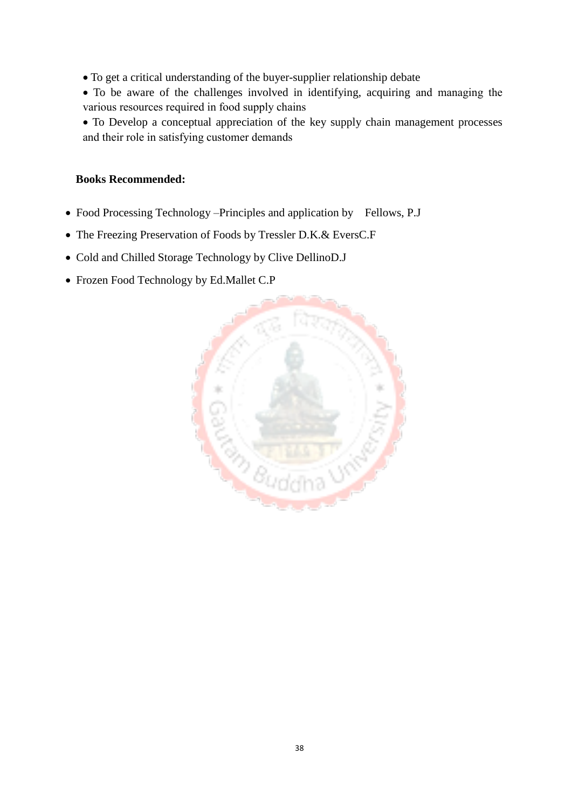- To get a critical understanding of the buyer-supplier relationship debate
- To be aware of the challenges involved in identifying, acquiring and managing the various resources required in food supply chains
- To Develop a conceptual appreciation of the key supply chain management processes and their role in satisfying customer demands

#### **Books Recommended:**

- Food Processing Technology –Principles and application by Fellows, P.J
- The Freezing Preservation of Foods by Tressler D.K.& EversC.F
- Cold and Chilled Storage Technology by Clive DellinoD.J
- Frozen Food Technology by Ed.Mallet C.P

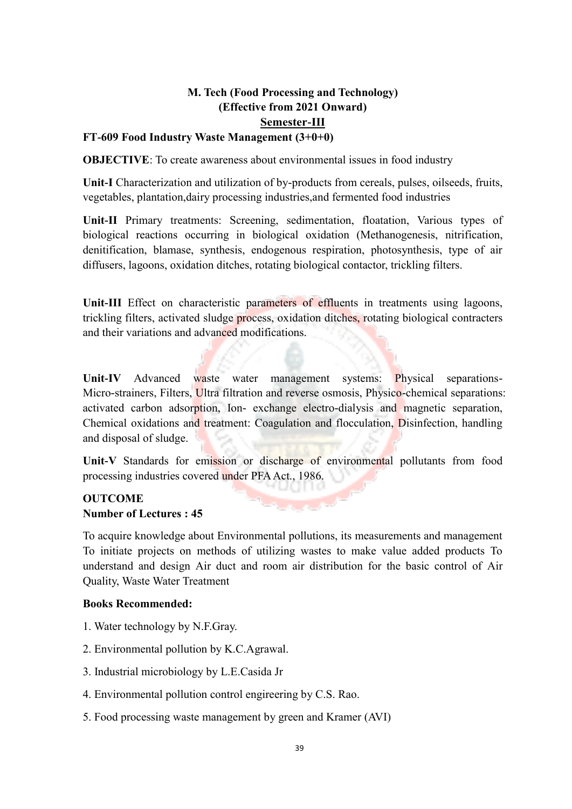## **M. Tech (Food Processing and Technology) (Effective from 2021 Onward) Semester-III**

## **FT-609 Food Industry Waste Management (3+0+0)**

**OBJECTIVE**: To create awareness about environmental issues in food industry

**Unit-I** Characterization and utilization of by-products from cereals, pulses, oilseeds, fruits, vegetables, plantation,dairy processing industries,and fermented food industries

**Unit-II** Primary treatments: Screening, sedimentation, floatation, Various types of biological reactions occurring in biological oxidation (Methanogenesis, nitrification, denitification, blamase, synthesis, endogenous respiration, photosynthesis, type of air diffusers, lagoons, oxidation ditches, rotating biological contactor, trickling filters.

Unit-III Effect on characteristic parameters of effluents in treatments using lagoons, trickling filters, activated sludge process, oxidation ditches, rotating biological contracters and their variations and advanced modifications.

**Unit-IV** Advanced waste water management systems: Physical separations-Micro-strainers, Filters, Ultra filtration and reverse osmosis, Physico-chemical separations: activated carbon adsorption, Ion- exchange electro-dialysis and magnetic separation, Chemical oxidations and treatment: Coagulation and flocculation, Disinfection, handling and disposal of sludge.

**Unit-V** Standards for emission or discharge of environmental pollutants from food processing industries covered under PFA Act., 1986.

### **OUTCOME Number of Lectures : 45**

To acquire knowledge about Environmental pollutions, its measurements and management To initiate projects on methods of utilizing wastes to make value added products To understand and design Air duct and room air distribution for the basic control of Air Quality, Waste Water Treatment

#### **Books Recommended:**

- 1. Water technology by N.F.Gray.
- 2. Environmental pollution by K.C.Agrawal.
- 3. Industrial microbiology by L.E.Casida Jr
- 4. Environmental pollution control engireering by C.S. Rao.
- 5. Food processing waste management by green and Kramer (AVI)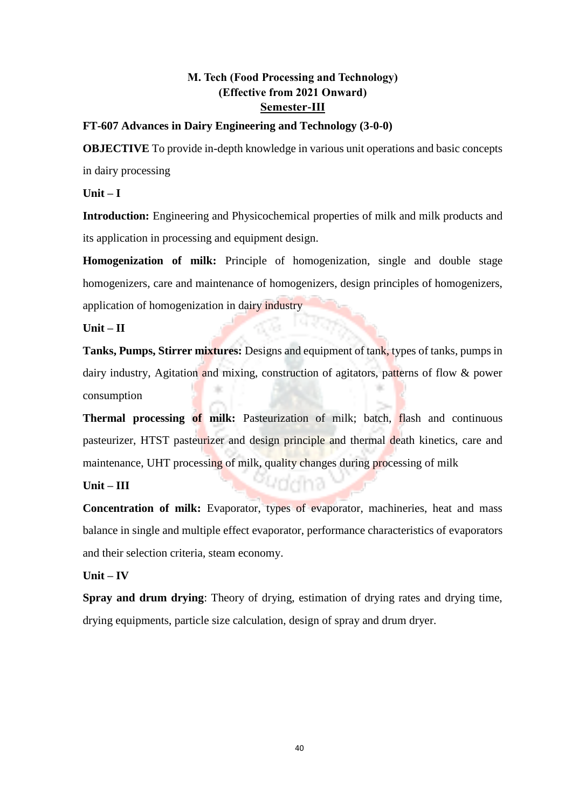### **M. Tech (Food Processing and Technology) (Effective from 2021 Onward) Semester-III**

#### **FT-607 Advances in Dairy Engineering and Technology (3-0-0)**

**OBJECTIVE** To provide in-depth knowledge in various unit operations and basic concepts in dairy processing

**Unit – I** 

**Introduction:** Engineering and Physicochemical properties of milk and milk products and its application in processing and equipment design.

**Homogenization of milk:** Principle of homogenization, single and double stage homogenizers, care and maintenance of homogenizers, design principles of homogenizers, application of homogenization in dairy industry

**Unit – II** 

**Tanks, Pumps, Stirrer mixtures:** Designs and equipment of tank, types of tanks, pumps in dairy industry, Agitation and mixing, construction of agitators, patterns of flow & power consumption

**Thermal processing of milk:** Pasteurization of milk; batch, flash and continuous pasteurizer, HTST pasteurizer and design principle and thermal death kinetics, care and maintenance, UHT processing of milk, quality changes during processing of milk

173

#### **Unit – III**

**Concentration of milk:** Evaporator, types of evaporator, machineries, heat and mass balance in single and multiple effect evaporator, performance characteristics of evaporators and their selection criteria, steam economy.

#### **Unit – IV**

**Spray and drum drying**: Theory of drying, estimation of drying rates and drying time, drying equipments, particle size calculation, design of spray and drum dryer.

40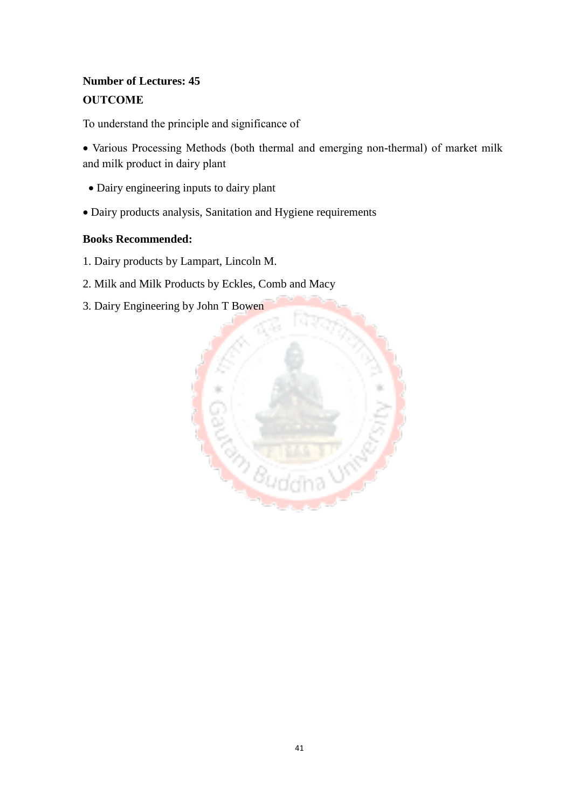## **Number of Lectures: 45 OUTCOME**

To understand the principle and significance of

 Various Processing Methods (both thermal and emerging non-thermal) of market milk and milk product in dairy plant

- Dairy engineering inputs to dairy plant
- Dairy products analysis, Sanitation and Hygiene requirements

### **Books Recommended:**

- 1. Dairy products by Lampart, Lincoln M.
- 2. Milk and Milk Products by Eckles, Comb and Macy
- 3. Dairy Engineering by John T Bowen

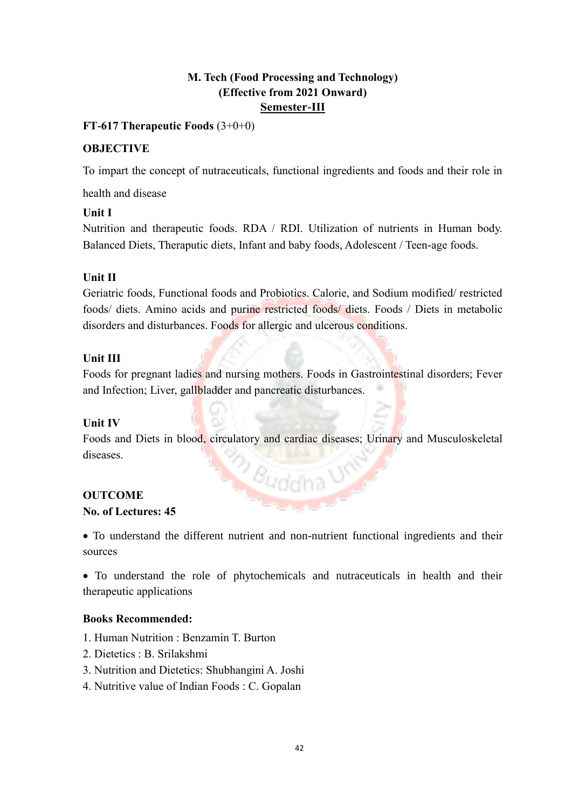### **M. Tech (Food Processing and Technology) (Effective from 2021 Onward) Semester-III**

#### **FT-617 Therapeutic Foods** (3+0+0)

#### **OBJECTIVE**

To impart the concept of nutraceuticals, functional ingredients and foods and their role in

health and disease

#### **Unit I**

Nutrition and therapeutic foods. RDA / RDI. Utilization of nutrients in Human body. Balanced Diets, Theraputic diets, Infant and baby foods, Adolescent / Teen-age foods.

### **Unit II**

Geriatric foods, Functional foods and Probiotics. Calorie, and Sodium modified/ restricted foods/ diets. Amino acids and purine restricted foods/ diets. Foods / Diets in metabolic disorders and disturbances. Foods for allergic and ulcerous conditions.

#### **Unit III**

Foods for pregnant ladies and nursing mothers. Foods in Gastrointestinal disorders; Fever and Infection; Liver, gallbladder and pancreatic disturbances.

#### **Unit IV**

Foods and Diets in blood, circulatory and cardiac diseases; Urinary and Musculoskeletal diseases.

8uddha

### **OUTCOME**

#### **No. of Lectures: 45**

 To understand the different nutrient and non-nutrient functional ingredients and their sources

 To understand the role of phytochemicals and nutraceuticals in health and their therapeutic applications

#### **Books Recommended:**

- 1. Human Nutrition : Benzamin T. Burton
- 2. Dietetics : B. Srilakshmi
- 3. Nutrition and Dietetics: Shubhangini A. Joshi
- 4. Nutritive value of Indian Foods : C. Gopalan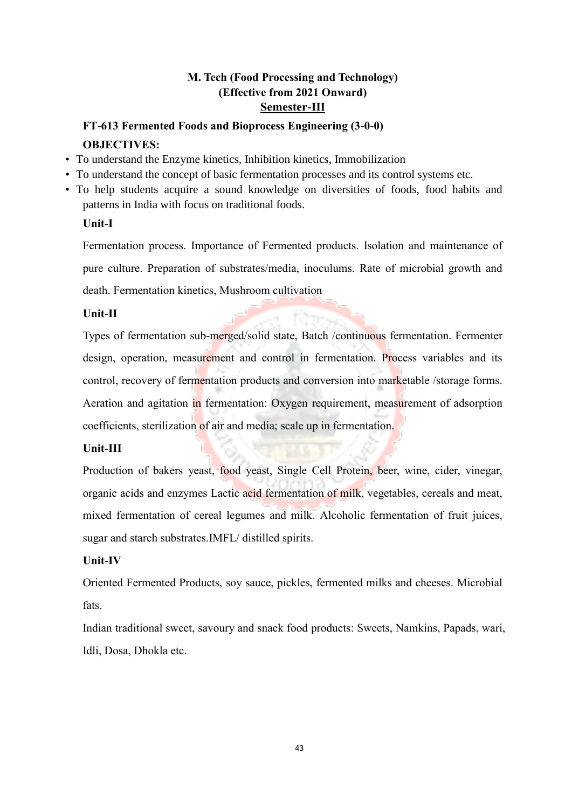### **M. Tech (Food Processing and Technology) (Effective from 2021 Onward) Semester-III**

## **FT-613 Fermented Foods and Bioprocess Engineering (3-0-0) OBJECTIVES:**

- To understand the Enzyme kinetics, Inhibition kinetics, Immobilization
- To understand the concept of basic fermentation processes and its control systems etc.
- To help students acquire a sound knowledge on diversities of foods, food habits and patterns in India with focus on traditional foods.

#### **Unit-I**

Fermentation process. Importance of Fermented products. Isolation and maintenance of pure culture. Preparation of substrates/media, inoculums. Rate of microbial growth and death. Fermentation kinetics, Mushroom cultivation

### **Unit-II**

Types of fermentation sub-merged/solid state, Batch /continuous fermentation. Fermenter design, operation, measurement and control in fermentation. Process variables and its control, recovery of fermentation products and conversion into marketable /storage forms. Aeration and agitation in fermentation: Oxygen requirement, measurement of adsorption coefficients, sterilization of air and media; scale up in fermentation.

### **Unit-III**

Production of bakers yeast, food yeast, Single Cell Protein, beer, wine, cider, vinegar, organic acids and enzymes Lactic acid fermentation of milk, vegetables, cereals and meat, mixed fermentation of cereal legumes and milk. Alcoholic fermentation of fruit juices, sugar and starch substrates.IMFL/ distilled spirits.

### **Unit-IV**

Oriented Fermented Products, soy sauce, pickles, fermented milks and cheeses. Microbial fats.

Indian traditional sweet, savoury and snack food products: Sweets, Namkins, Papads, wari, Idli, Dosa, Dhokla etc.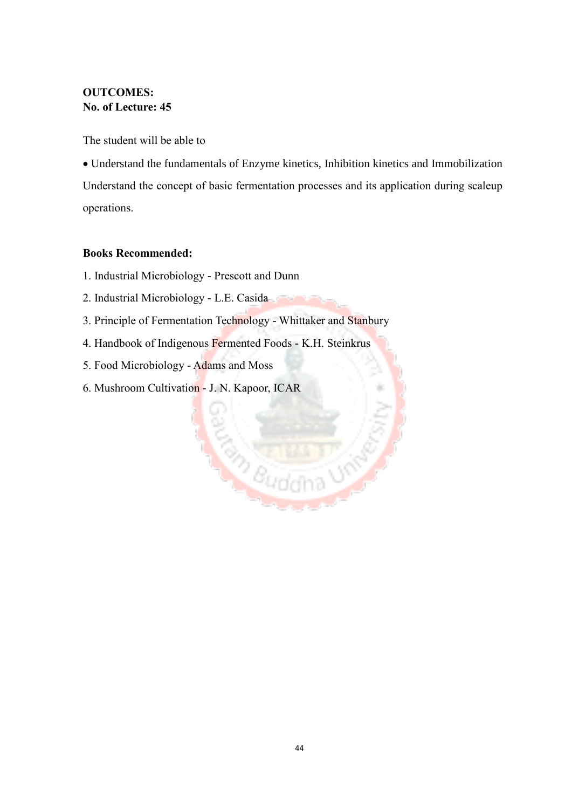### **OUTCOMES: No. of Lecture: 45**

The student will be able to

 Understand the fundamentals of Enzyme kinetics, Inhibition kinetics and Immobilization Understand the concept of basic fermentation processes and its application during scaleup operations.

#### **Books Recommended:**

- 1. Industrial Microbiology Prescott and Dunn
- 2. Industrial Microbiology L.E. Casida
- 3. Principle of Fermentation Technology Whittaker and Stanbury

**EN SELFERE** 

- 4. Handbook of Indigenous Fermented Foods K.H. Steinkrus
- 5. Food Microbiology Adams and Moss
- 6. Mushroom Cultivation J. N. Kapoor, ICAR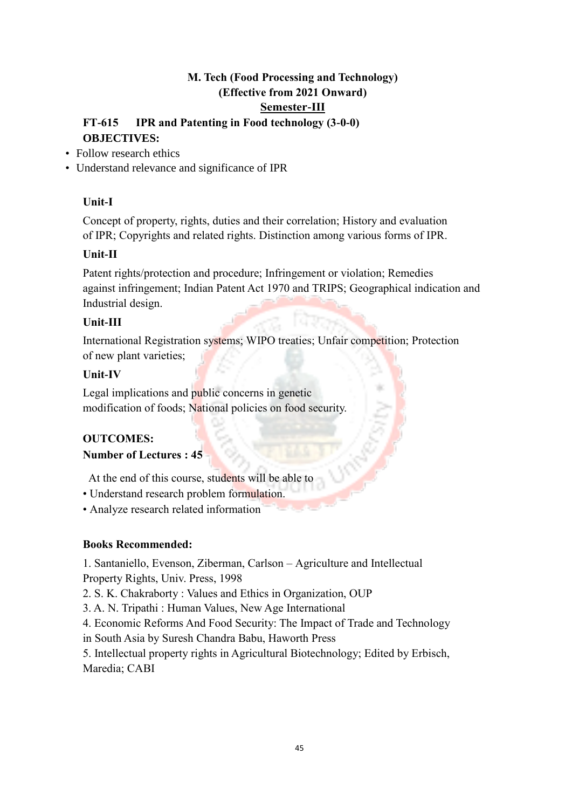### **M. Tech (Food Processing and Technology) (Effective from 2021 Onward) Semester-III**

### **FT-615 IPR and Patenting in Food technology (3-0-0) OBJECTIVES:**

- Follow research ethics
- Understand relevance and significance of IPR

### **Unit-I**

Concept of property, rights, duties and their correlation; History and evaluation of IPR; Copyrights and related rights. Distinction among various forms of IPR.

### **Unit-II**

Patent rights/protection and procedure; Infringement or violation; Remedies against infringement; Indian Patent Act 1970 and TRIPS; Geographical indication and Industrial design.

### **Unit-III**

International Registration systems; WIPO treaties; Unfair competition; Protection of new plant varieties;

### **Unit-IV**

Legal implications and public concerns in genetic modification of foods; National policies on food security.

### **OUTCOMES:**

### **Number of Lectures : 45**

At the end of this course, students will be able to

- Understand research problem formulation.
- Analyze research related information

### **Books Recommended:**

1. Santaniello, Evenson, Ziberman, Carlson – Agriculture and Intellectual Property Rights, Univ. Press, 1998

2. S. K. Chakraborty : Values and Ethics in Organization, OUP

3. A. N. Tripathi : Human Values, New Age International

4. Economic Reforms And Food Security: The Impact of Trade and Technology

in South Asia by Suresh Chandra Babu, Haworth Press

5. Intellectual property rights in Agricultural Biotechnology; Edited by Erbisch, Maredia; CABI